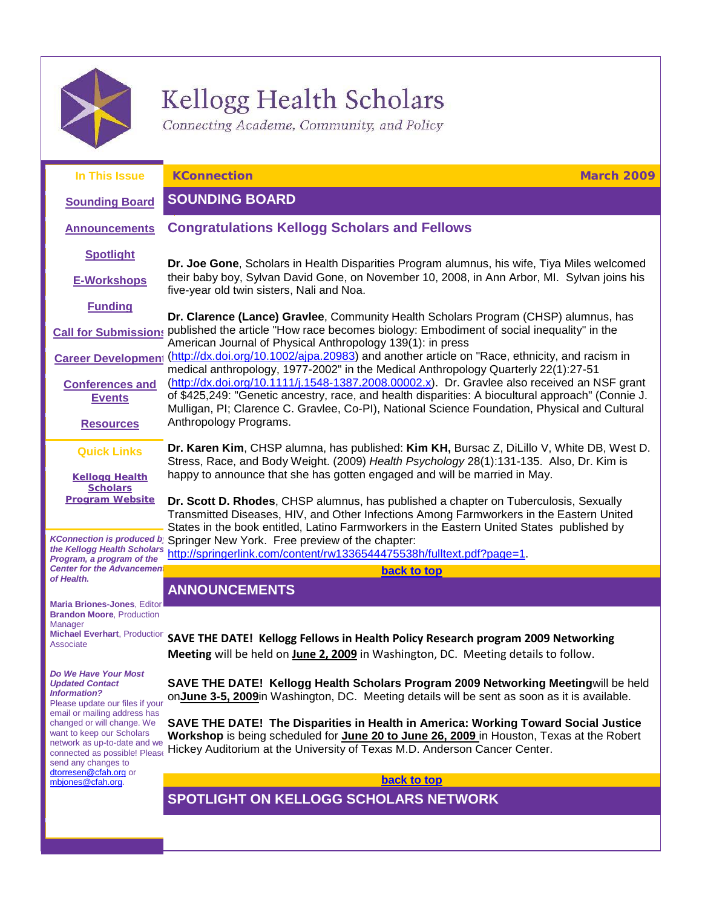

# Kellogg Health Scholars

<span id="page-0-3"></span><span id="page-0-0"></span>Connecting Academe, Community, and Policy

<span id="page-0-2"></span><span id="page-0-1"></span>

| In This Issue                                                                                                                                                                                                                                                                                                        | <b>KConnection</b><br><b>March 2009</b>                                                                                                                                                                                                                                                                                         |
|----------------------------------------------------------------------------------------------------------------------------------------------------------------------------------------------------------------------------------------------------------------------------------------------------------------------|---------------------------------------------------------------------------------------------------------------------------------------------------------------------------------------------------------------------------------------------------------------------------------------------------------------------------------|
| <b>Sounding Board</b>                                                                                                                                                                                                                                                                                                | <b>SOUNDING BOARD</b>                                                                                                                                                                                                                                                                                                           |
| <b>Announcements</b>                                                                                                                                                                                                                                                                                                 | <b>Congratulations Kellogg Scholars and Fellows</b>                                                                                                                                                                                                                                                                             |
| <b>Spotlight</b>                                                                                                                                                                                                                                                                                                     | Dr. Joe Gone, Scholars in Health Disparities Program alumnus, his wife, Tiya Miles welcomed                                                                                                                                                                                                                                     |
| <b>E-Workshops</b>                                                                                                                                                                                                                                                                                                   | their baby boy, Sylvan David Gone, on November 10, 2008, in Ann Arbor, MI. Sylvan joins his<br>five-year old twin sisters, Nali and Noa.                                                                                                                                                                                        |
| <b>Funding</b>                                                                                                                                                                                                                                                                                                       | Dr. Clarence (Lance) Gravlee, Community Health Scholars Program (CHSP) alumnus, has                                                                                                                                                                                                                                             |
| <b>Call for Submissions</b>                                                                                                                                                                                                                                                                                          | published the article "How race becomes biology: Embodiment of social inequality" in the<br>American Journal of Physical Anthropology 139(1): in press                                                                                                                                                                          |
| <b>Career Development</b>                                                                                                                                                                                                                                                                                            | (http://dx.doi.org/10.1002/ajpa.20983) and another article on "Race, ethnicity, and racism in<br>medical anthropology, 1977-2002" in the Medical Anthropology Quarterly 22(1):27-51                                                                                                                                             |
| <b>Conferences and</b>                                                                                                                                                                                                                                                                                               | (http://dx.doi.org/10.1111/j.1548-1387.2008.00002.x). Dr. Gravlee also received an NSF grant<br>of \$425,249: "Genetic ancestry, race, and health disparities: A biocultural approach" (Connie J.                                                                                                                               |
| <b>Events</b>                                                                                                                                                                                                                                                                                                        | Mulligan, PI; Clarence C. Gravlee, Co-PI), National Science Foundation, Physical and Cultural                                                                                                                                                                                                                                   |
| <b>Resources</b>                                                                                                                                                                                                                                                                                                     | Anthropology Programs.                                                                                                                                                                                                                                                                                                          |
| <b>Quick Links</b>                                                                                                                                                                                                                                                                                                   | Dr. Karen Kim, CHSP alumna, has published: Kim KH, Bursac Z, DiLillo V, White DB, West D.<br>Stress, Race, and Body Weight. (2009) Health Psychology 28(1):131-135. Also, Dr. Kim is                                                                                                                                            |
| <b>Kellogg Health</b><br><b>Scholars</b>                                                                                                                                                                                                                                                                             | happy to announce that she has gotten engaged and will be married in May.                                                                                                                                                                                                                                                       |
| <b>Program Website</b><br><b>KConnection is produced b</b>                                                                                                                                                                                                                                                           | Dr. Scott D. Rhodes, CHSP alumnus, has published a chapter on Tuberculosis, Sexually<br>Transmitted Diseases, HIV, and Other Infections Among Farmworkers in the Eastern United<br>States in the book entitled, Latino Farmworkers in the Eastern United States published by<br>Springer New York. Free preview of the chapter: |
| the Kellogg Health Scholars<br>Program, a program of the<br><b>Center for the Advancement</b><br>of Health.                                                                                                                                                                                                          | http://springerlink.com/content/rw1336544475538h/fulltext.pdf?page=1.                                                                                                                                                                                                                                                           |
|                                                                                                                                                                                                                                                                                                                      | back to top                                                                                                                                                                                                                                                                                                                     |
|                                                                                                                                                                                                                                                                                                                      | <b>ANNOUNCEMENTS</b>                                                                                                                                                                                                                                                                                                            |
| <b>Maria Briones-Jones, Editor</b><br><b>Brandon Moore, Production</b><br>Manager                                                                                                                                                                                                                                    |                                                                                                                                                                                                                                                                                                                                 |
| <b>Michael Everhart, Production</b><br>Associate                                                                                                                                                                                                                                                                     | SAVE THE DATE! Kellogg Fellows in Health Policy Research program 2009 Networking                                                                                                                                                                                                                                                |
|                                                                                                                                                                                                                                                                                                                      | Meeting will be held on June 2, 2009 in Washington, DC. Meeting details to follow.                                                                                                                                                                                                                                              |
| Do We Have Your Most<br><b>Updated Contact</b><br><b>Information?</b><br>Please update our files if your<br>email or mailing address has<br>changed or will change. We<br>want to keep our Scholars<br>network as up-to-date and we<br>connected as possible! Please<br>send any changes to<br>dtorresen@cfah.org or | SAVE THE DATE! Kellogg Health Scholars Program 2009 Networking Meetingwill be held<br>onJune 3-5, 2009in Washington, DC. Meeting details will be sent as soon as it is available.                                                                                                                                               |
|                                                                                                                                                                                                                                                                                                                      | SAVE THE DATE! The Disparities in Health in America: Working Toward Social Justice<br>Workshop is being scheduled for June 20 to June 26, 2009 in Houston, Texas at the Robert<br>Hickey Auditorium at the University of Texas M.D. Anderson Cancer Center.                                                                     |
| mbjones@cfah.org.                                                                                                                                                                                                                                                                                                    | back to top                                                                                                                                                                                                                                                                                                                     |
|                                                                                                                                                                                                                                                                                                                      | <b>SPOTLIGHT ON KELLOGG SCHOLARS NETWORK</b>                                                                                                                                                                                                                                                                                    |
|                                                                                                                                                                                                                                                                                                                      |                                                                                                                                                                                                                                                                                                                                 |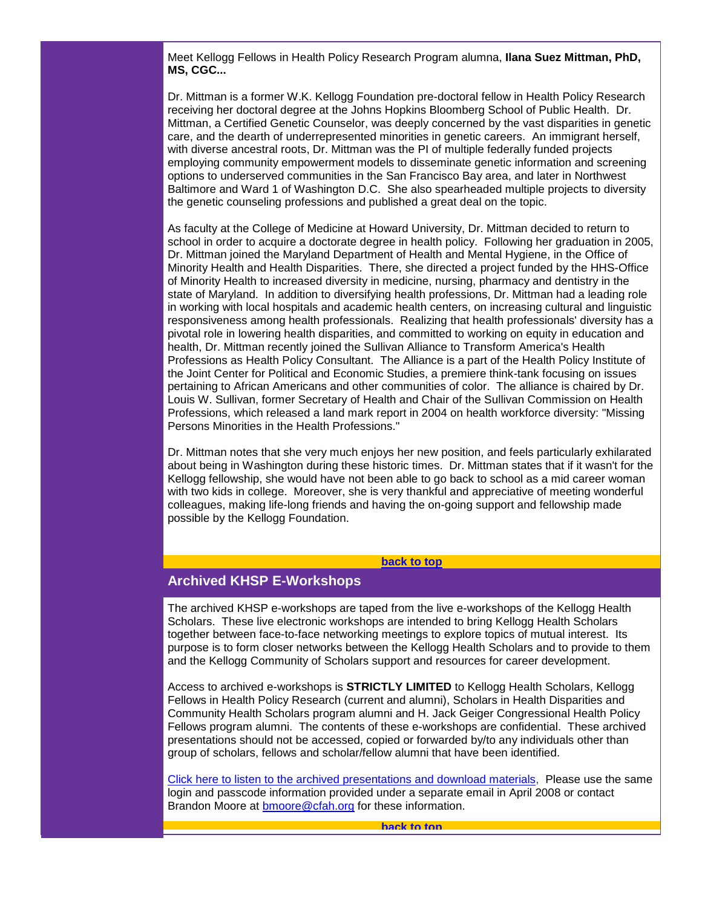Meet Kellogg Fellows in Health Policy Research Program alumna, **Ilana Suez Mittman, PhD, MS, CGC...**

Dr. Mittman is a former W.K. Kellogg Foundation pre-doctoral fellow in Health Policy Research receiving her doctoral degree at the Johns Hopkins Bloomberg School of Public Health. Dr. Mittman, a Certified Genetic Counselor, was deeply concerned by the vast disparities in genetic care, and the dearth of underrepresented minorities in genetic careers. An immigrant herself, with diverse ancestral roots, Dr. Mittman was the PI of multiple federally funded projects employing community empowerment models to disseminate genetic information and screening options to underserved communities in the San Francisco Bay area, and later in Northwest Baltimore and Ward 1 of Washington D.C. She also spearheaded multiple projects to diversity the genetic counseling professions and published a great deal on the topic.

As faculty at the College of Medicine at Howard University, Dr. Mittman decided to return to school in order to acquire a doctorate degree in health policy. Following her graduation in 2005, Dr. Mittman joined the Maryland Department of Health and Mental Hygiene, in the Office of Minority Health and Health Disparities. There, she directed a project funded by the HHS-Office of Minority Health to increased diversity in medicine, nursing, pharmacy and dentistry in the state of Maryland. In addition to diversifying health professions, Dr. Mittman had a leading role in working with local hospitals and academic health centers, on increasing cultural and linguistic responsiveness among health professionals. Realizing that health professionals' diversity has a pivotal role in lowering health disparities, and committed to working on equity in education and health, Dr. Mittman recently joined the Sullivan Alliance to Transform America's Health Professions as Health Policy Consultant. The Alliance is a part of the Health Policy Institute of the Joint Center for Political and Economic Studies, a premiere think-tank focusing on issues pertaining to African Americans and other communities of color. The alliance is chaired by Dr. Louis W. Sullivan, former Secretary of Health and Chair of the Sullivan Commission on Health Professions, which released a land mark report in 2004 on health workforce diversity: "Missing Persons Minorities in the Health Professions."

Dr. Mittman notes that she very much enjoys her new position, and feels particularly exhilarated about being in Washington during these historic times. Dr. Mittman states that if it wasn't for the Kellogg fellowship, she would have not been able to go back to school as a mid career woman with two kids in college. Moreover, she is very thankful and appreciative of meeting wonderful colleagues, making life-long friends and having the on-going support and fellowship made possible by the Kellogg Foundation.

#### **[back to top](#page-0-3)**

# <span id="page-1-0"></span>**Archived KHSP E-Workshops**

The archived KHSP e-workshops are taped from the live e-workshops of the Kellogg Health Scholars. These live electronic workshops are intended to bring Kellogg Health Scholars together between face-to-face networking meetings to explore topics of mutual interest. Its purpose is to form closer networks between the Kellogg Health Scholars and to provide to them and the Kellogg Community of Scholars support and resources for career development.

Access to archived e-workshops is **STRICTLY LIMITED** to Kellogg Health Scholars, Kellogg Fellows in Health Policy Research (current and alumni), Scholars in Health Disparities and Community Health Scholars program alumni and H. Jack Geiger Congressional Health Policy Fellows program alumni. The contents of these e-workshops are confidential. These archived presentations should not be accessed, copied or forwarded by/to any individuals other than group of scholars, fellows and scholar/fellow alumni that have been identified.

<span id="page-1-1"></span>[Click here to listen to the archived presentations and download materials,](http://rs6.net/tn.jsp?et=1102500994978&e=001arP80SfAbhsTpcDVv8K_Vjs0j6-nnGHfDdasjgcg_78GU0rXSBDrK7KGA0CGr5qirsBpl5chn23PDWS79Q3drhh88F_LINd4VCRonG329mifNThBGhiuVdEEULoDbo49wL1giedqDcI=) Please use the same login and passcode information provided under a separate email in April 2008 or contact Brandon Moore at [bmoore@cfah.org](mailto:bmoore@cfah.org) for these information.

**[back to top](#page-0-3)**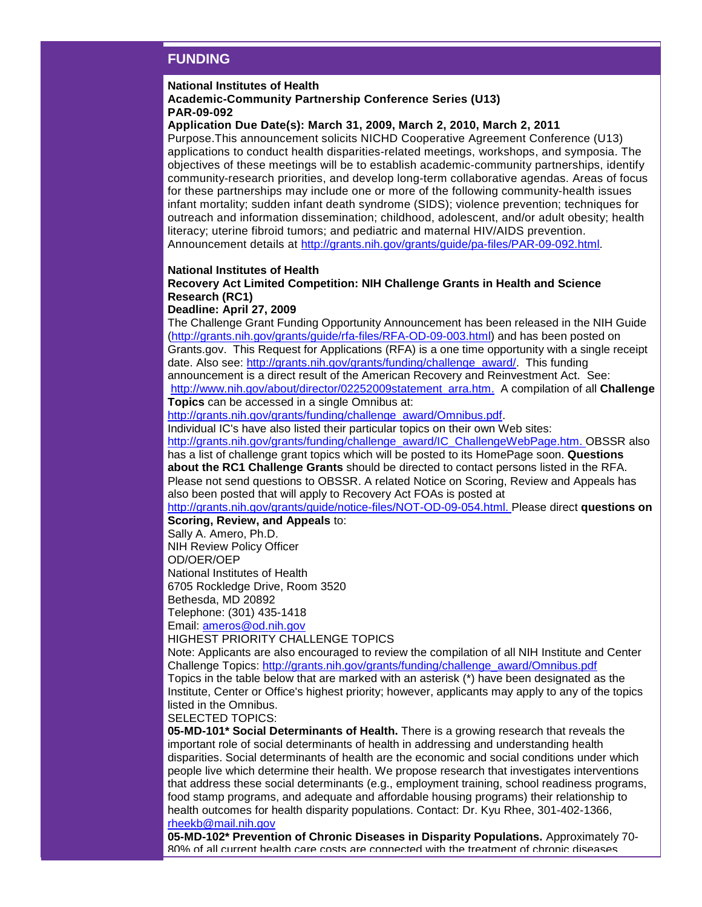# **FUNDING**

#### **National Institutes of Health**

## **Academic-Community Partnership Conference Series (U13) PAR-09-092**

# **Application Due Date(s): March 31, 2009, March 2, 2010, March 2, 2011**

Purpose.This announcement solicits NICHD Cooperative Agreement Conference (U13) applications to conduct health disparities-related meetings, workshops, and symposia. The objectives of these meetings will be to establish academic-community partnerships, identify community-research priorities, and develop long-term collaborative agendas. Areas of focus for these partnerships may include one or more of the following community-health issues infant mortality; sudden infant death syndrome (SIDS); violence prevention; techniques for outreach and information dissemination; childhood, adolescent, and/or adult obesity; health literacy; uterine fibroid tumors; and pediatric and maternal HIV/AIDS prevention. Announcement details at [http://grants.nih.gov/grants/guide/pa-files/PAR-09-092.html.](http://rs6.net/tn.jsp?et=1102500994978&e=001arP80SfAbhtAERs1NpjzywemDVp-8_ZozXHylSSjK8gRiHkbHzUTRGIfBLc4b3TuBY2c6KdFJH4bFqC05DYku4m2tcMMXiBXFQiDRczN-56yJQvMSPWmvKkwWmfrAz1w8R8oa1v7HHWX_t4vjU08auUHz7exLB4K-Pze10nRCjM=)

## **National Institutes of Health**

# **Recovery Act Limited Competition: NIH Challenge Grants in Health and Science Research (RC1)**

# **Deadline: April 27, 2009**

The Challenge Grant Funding Opportunity Announcement has been released in the NIH Guide [\(http://grants.nih.gov/grants/guide/rfa-files/RFA-OD-09-003.html\)](http://rs6.net/tn.jsp?et=1102500994978&e=001arP80SfAbhvJdgF063TQFws1OTJooTYMQfrkqYcSEqbLSgivZRHmL2AMsEXmQp9KtAOvd3tBdYgMB2vFzmUV7gSmf0Pr7cQZILuVevOesC9y5S7EuI9eRVwfj3DQbYZ3a9QOoT4mM67KaDTlMOtWRoOhY_472-J9niXs6ujISMM=) and has been posted on Grants.gov. This Request for Applications (RFA) is a one time opportunity with a single receipt date. Also see: [http://grants.nih.gov/grants/funding/challenge\\_award/.](http://rs6.net/tn.jsp?et=1102500994978&e=001arP80SfAbhvpOtOP5PGgRWTJpwyKa59jx8IAbOlEujl9uX5mjgHTvSuGd19Z_MTX6b0IWmQ0vHsAwY9S57OdUJbsp-gwLLROFDHjWnaMD3_cPLTMapW4Wgo1DncID8C7oaqUmXtTPNLkT5v3ElBFngeQo6MK-FWA) This funding announcement is a direct result of the American Recovery and Reinvestment Act. See: [http://www.nih.gov/about/director/02252009statement\\_arra.htm.](http://rs6.net/tn.jsp?et=1102500994978&e=001arP80SfAbhsrxZlvJVrVfG4YfTEslRc4aF9BxJAjylAcj9GSLnqmKcKVvqhvqrgIy15mTeuEqV0vOTtiOGhgbwF0UIcavO8LInfydsmIj8-OR_mq6XgXwHyHyxlWtuZPEJGxM7iW0pEzohGlyGM41jJBiWenr5ZL) A compilation of all **Challenge Topics** can be accessed in a single Omnibus at:

[http://grants.nih.gov/grants/funding/challenge\\_award/Omnibus.pdf.](http://rs6.net/tn.jsp?et=1102500994978&e=001arP80SfAbhur2K2pCLQGxORzNAcmqL6DESSTb_XYY8whfd51tKEyzV2T3A0t2hgxHbA8zqxTjf_-aK7b680JOKFXJhmm7FlvSDfsK-QsySglqQbSdH1dhnN2wtwLM1KsL4M68PMht-WEXGPaV6qwptcGrmPO2VYoP0k8Ja_9zXQ=)

Individual IC's have also listed their particular topics on their own Web sites:

[http://grants.nih.gov/grants/funding/challenge\\_award/IC\\_ChallengeWebPage.htm.](http://rs6.net/tn.jsp?et=1102500994978&e=001arP80SfAbhvi72eGDle869Hy5bHXdCao19y3qgdnbIAko0CcW5YFmtIajciPjotAruM-YVV168Vmmcv0MT6H__HjLEdVOBbIGoIv1OBzVRH1vgZJ3rAB8FH-0vujy0QHIuZz-khiP8W_xmQEFFVSBMHSc9sgob1d8L_1gc3eoI1APsYjlAsXOFpnMw8LRmpk) OBSSR also has a list of challenge grant topics which will be posted to its HomePage soon. **Questions about the RC1 Challenge Grants** should be directed to contact persons listed in the RFA. Please not send questions to OBSSR. A related Notice on Scoring, Review and Appeals has

also been posted that will apply to Recovery Act FOAs is posted at

[http://grants.nih.gov/grants/guide/notice-files/NOT-OD-09-054.html.](http://rs6.net/tn.jsp?et=1102500994978&e=001arP80SfAbhtjSoANWMxsdQRgdWC8TQfJaZcrR2IqjbXQ3ut3qR0e1DHMdxfiexzWeArJa0nI2DK5a-Vsu40rr7vfDk3oJy2FOwOJyQaUm8heS0L5Mq5IKhpqaMfcmM6-7IkDpJcpSqgt3MLhUJpr1muB4ZyWB-15I4_sKydgsP8=) Please direct **questions on Scoring, Review, and Appeals** to:

Sally A. Amero, Ph.D.

NIH Review Policy Officer

OD/OER/OEP

National Institutes of Health

6705 Rockledge Drive, Room 3520

Bethesda, MD 20892

Telephone: (301) 435-1418

Email: [ameros@od.nih.gov](mailto:ameros@od.nih.gov)

HIGHEST PRIORITY CHALLENGE TOPICS

Note: Applicants are also encouraged to review the compilation of all NIH Institute and Center Challenge Topics: [http://grants.nih.gov/grants/funding/challenge\\_award/Omnibus.pdf](http://rs6.net/tn.jsp?et=1102500994978&e=001arP80SfAbhur2K2pCLQGxORzNAcmqL6DESSTb_XYY8whfd51tKEyzV2T3A0t2hgxHbA8zqxTjf_-aK7b680JOKFXJhmm7FlvSDfsK-QsySglqQbSdH1dhnN2wtwLM1KsL4M68PMht-WEXGPaV6qwptcGrmPO2VYoP0k8Ja_9zXQ=) Topics in the table below that are marked with an asterisk (\*) have been designated as the

Institute, Center or Office's highest priority; however, applicants may apply to any of the topics listed in the Omnibus.

SELECTED TOPICS:

**05-MD-101\* Social Determinants of Health.** There is a growing research that reveals the important role of social determinants of health in addressing and understanding health disparities. Social determinants of health are the economic and social conditions under which people live which determine their health. We propose research that investigates interventions that address these social determinants (e.g., employment training, school readiness programs, food stamp programs, and adequate and affordable housing programs) their relationship to health outcomes for health disparity populations. Contact: Dr. Kyu Rhee, 301-402-1366, [rheekb@mail.nih.gov](mailto:rheekb@mail.nih.gov)

**05-MD-102\* Prevention of Chronic Diseases in Disparity Populations.** Approximately 70- 80% of all current health care costs are connected with the treatment of chronic diseases.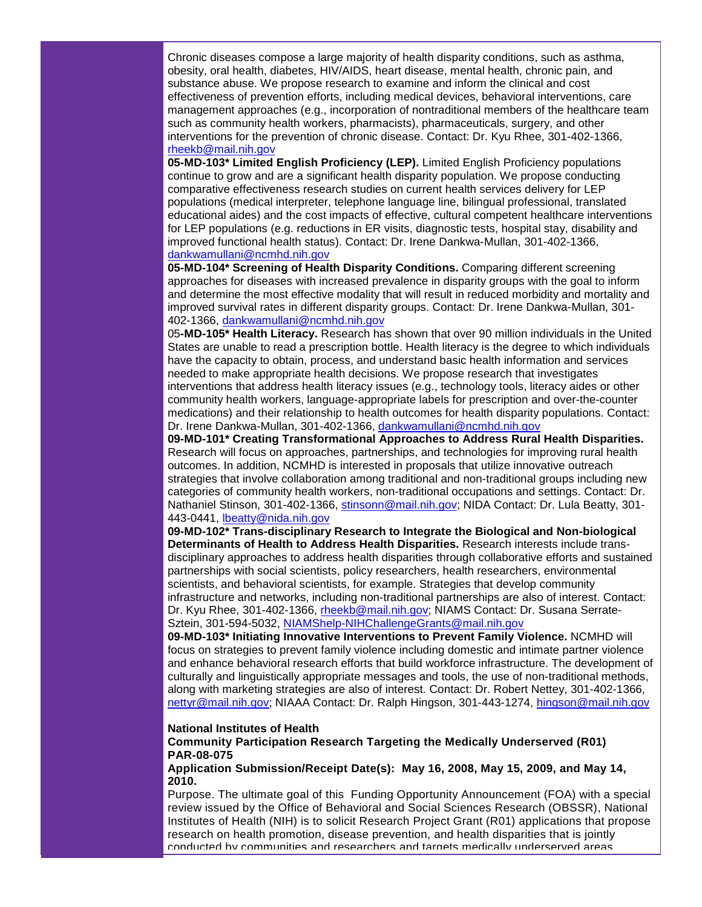Chronic diseases compose a large majority of health disparity conditions, such as asthma, obesity, oral health, diabetes, HIV/AIDS, heart disease, mental health, chronic pain, and substance abuse. We propose research to examine and inform the clinical and cost effectiveness of prevention efforts, including medical devices, behavioral interventions, care management approaches (e.g., incorporation of nontraditional members of the healthcare team such as community health workers, pharmacists), pharmaceuticals, surgery, and other interventions for the prevention of chronic disease. Contact: Dr. Kyu Rhee, 301-402-1366, [rheekb@mail.nih.gov](mailto:rheekb@mail.nih.gov)

**05-MD-103\* Limited English Proficiency (LEP).** Limited English Proficiency populations continue to grow and are a significant health disparity population. We propose conducting comparative effectiveness research studies on current health services delivery for LEP populations (medical interpreter, telephone language line, bilingual professional, translated educational aides) and the cost impacts of effective, cultural competent healthcare interventions for LEP populations (e.g. reductions in ER visits, diagnostic tests, hospital stay, disability and improved functional health status). Contact: Dr. Irene Dankwa-Mullan, 301-402-1366, [dankwamullani@ncmhd.nih.gov](mailto:dankwamullani@ncmhd.nih.gov)

**05-MD-104\* Screening of Health Disparity Conditions.** Comparing different screening approaches for diseases with increased prevalence in disparity groups with the goal to inform and determine the most effective modality that will result in reduced morbidity and mortality and improved survival rates in different disparity groups. Contact: Dr. Irene Dankwa-Mullan, 301- 402-1366, [dankwamullani@ncmhd.nih.gov](mailto:dankwamullani@ncmhd.nih.gov)

05**-MD-105\* Health Literacy.** Research has shown that over 90 million individuals in the United States are unable to read a prescription bottle. Health literacy is the degree to which individuals have the capacity to obtain, process, and understand basic health information and services needed to make appropriate health decisions. We propose research that investigates interventions that address health literacy issues (e.g., technology tools, literacy aides or other community health workers, language-appropriate labels for prescription and over-the-counter medications) and their relationship to health outcomes for health disparity populations. Contact: Dr. Irene Dankwa-Mullan, 301-402-1366, [dankwamullani@ncmhd.nih.gov](mailto:dankwamullani@ncmhd.nih.gov)

**09-MD-101\* Creating Transformational Approaches to Address Rural Health Disparities.** Research will focus on approaches, partnerships, and technologies for improving rural health outcomes. In addition, NCMHD is interested in proposals that utilize innovative outreach strategies that involve collaboration among traditional and non-traditional groups including new categories of community health workers, non-traditional occupations and settings. Contact: Dr. Nathaniel Stinson, 301-402-1366, [stinsonn@mail.nih.gov;](mailto:stinsonn@mail.nih.gov) NIDA Contact: Dr. Lula Beatty, 301- 443-0441, [lbeatty@nida.nih.gov](mailto:lbeatty@nida.nih.gov)

**09-MD-102\* Trans-disciplinary Research to Integrate the Biological and Non-biological Determinants of Health to Address Health Disparities.** Research interests include transdisciplinary approaches to address health disparities through collaborative efforts and sustained partnerships with social scientists, policy researchers, health researchers, environmental scientists, and behavioral scientists, for example. Strategies that develop community infrastructure and networks, including non-traditional partnerships are also of interest. Contact: Dr. Kyu Rhee, 301-402-1366, [rheekb@mail.nih.gov;](mailto:rheekb@mail.nih.gov) NIAMS Contact: Dr. Susana Serrate-Sztein, 301-594-5032, [NIAMShelp-NIHChallengeGrants@mail.nih.gov](mailto:NIAMShelp-NIHChallengeGrants@mail.nih.gov)

**09-MD-103\* Initiating Innovative Interventions to Prevent Family Violence.** NCMHD will focus on strategies to prevent family violence including domestic and intimate partner violence and enhance behavioral research efforts that build workforce infrastructure. The development of culturally and linguistically appropriate messages and tools, the use of non-traditional methods, along with marketing strategies are also of interest. Contact: Dr. Robert Nettey, 301-402-1366, [nettyr@mail.nih.gov;](mailto:nettyr@mail.nih.gov) NIAAA Contact: Dr. Ralph Hingson, 301-443-1274, [hingson@mail.nih.gov](mailto:hingson@mail.nih.gov)

### **National Institutes of Health**

## **Community Participation Research Targeting the Medically Underserved (R01) PAR-08-075**

**Application Submission/Receipt Date(s): May 16, 2008, May 15, 2009, and May 14, 2010.**

Purpose. The ultimate goal of this Funding Opportunity Announcement (FOA) with a special review issued by the Office of Behavioral and Social Sciences Research (OBSSR), National Institutes of Health (NIH) is to solicit Research Project Grant (R01) applications that propose research on health promotion, disease prevention, and health disparities that is jointly conducted by communities and researchers and targets medically underserved areas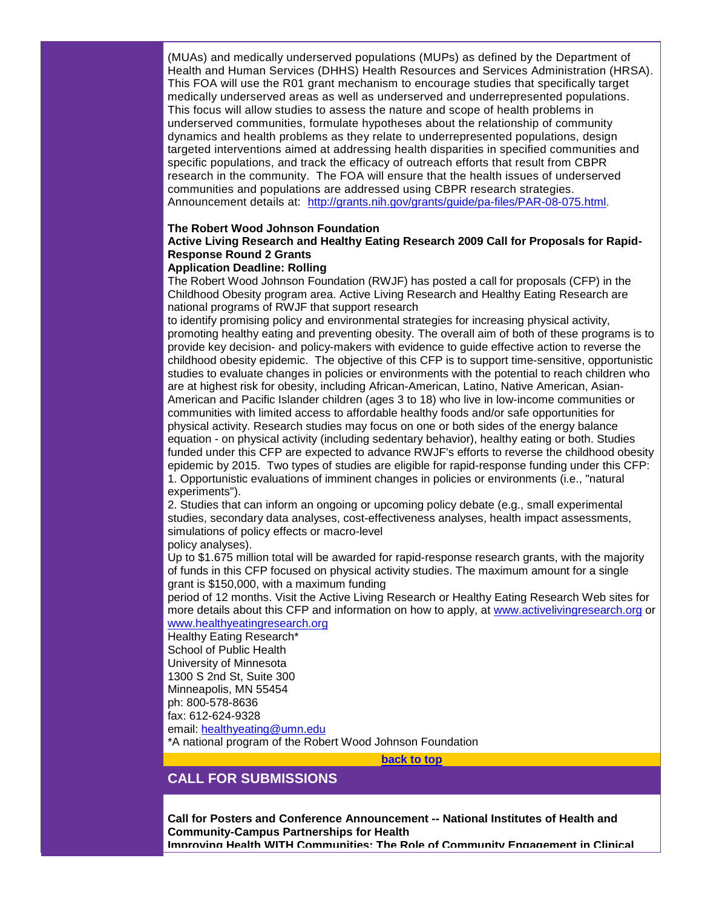(MUAs) and medically underserved populations (MUPs) as defined by the Department of Health and Human Services (DHHS) Health Resources and Services Administration (HRSA). This FOA will use the R01 grant mechanism to encourage studies that specifically target medically underserved areas as well as underserved and underrepresented populations. This focus will allow studies to assess the nature and scope of health problems in underserved communities, formulate hypotheses about the relationship of community dynamics and health problems as they relate to underrepresented populations, design targeted interventions aimed at addressing health disparities in specified communities and specific populations, and track the efficacy of outreach efforts that result from CBPR research in the community. The FOA will ensure that the health issues of underserved communities and populations are addressed using CBPR research strategies. Announcement details at: [http://grants.nih.gov/grants/guide/pa-files/PAR-08-075.html.](http://rs6.net/tn.jsp?et=1102500994978&e=001arP80SfAbhvWncme41S2o3mhcMbRjXNTib4nUGJlao2mfzY3VNrhj6MvFg6OoZvXypOdO_vmxuE1vMo1oHG2PX9XNVLrpyV3UgUpOWV7SnfCJM_kaYuNyTuXv6YQphqHlkNwCAGuIvbNb57pWEMsXNEIpHFKQE4gUvVoMHZKgkM=)

# **The Robert Wood Johnson Foundation**

# **Active Living Research and Healthy Eating Research 2009 Call for Proposals for Rapid-Response Round 2 Grants**

## **Application Deadline: Rolling**

The Robert Wood Johnson Foundation (RWJF) has posted a call for proposals (CFP) in the Childhood Obesity program area. Active Living Research and Healthy Eating Research are national programs of RWJF that support research

to identify promising policy and environmental strategies for increasing physical activity, promoting healthy eating and preventing obesity. The overall aim of both of these programs is to provide key decision- and policy-makers with evidence to guide effective action to reverse the childhood obesity epidemic. The objective of this CFP is to support time-sensitive, opportunistic studies to evaluate changes in policies or environments with the potential to reach children who are at highest risk for obesity, including African-American, Latino, Native American, Asian-American and Pacific Islander children (ages 3 to 18) who live in low-income communities or communities with limited access to affordable healthy foods and/or safe opportunities for physical activity. Research studies may focus on one or both sides of the energy balance equation - on physical activity (including sedentary behavior), healthy eating or both. Studies funded under this CFP are expected to advance RWJF's efforts to reverse the childhood obesity epidemic by 2015. Two types of studies are eligible for rapid-response funding under this CFP: 1. Opportunistic evaluations of imminent changes in policies or environments (i.e., "natural experiments").

2. Studies that can inform an ongoing or upcoming policy debate (e.g., small experimental studies, secondary data analyses, cost-effectiveness analyses, health impact assessments, simulations of policy effects or macro-level

#### policy analyses).

Up to \$1.675 million total will be awarded for rapid-response research grants, with the majority of funds in this CFP focused on physical activity studies. The maximum amount for a single grant is \$150,000, with a maximum funding

period of 12 months. Visit the Active Living Research or Healthy Eating Research Web sites for more details about this CFP and information on how to apply, at [www.activelivingresearch.org](http://rs6.net/tn.jsp?et=1102500994978&e=001arP80SfAbhv2Y7FImJWi9r22CBkFPqB5ehR-jJIjI8IOkRiWKmEO7m4dUZ0lmpgGYqS037h_7BxwEpAF9DAhJlfgCYJjcf-06_FGSmSfmN7u0zSpwIWfu9SSpVQVjzbY) or [www.healthyeatingresearch.org](http://rs6.net/tn.jsp?et=1102500994978&e=001arP80SfAbhvjQYQFYJIYk2rm4uXXoL2EGkT9NDqiE1ZuSIJ369UagQRaDpn6oimwolEkt1J3ODbKMDEfWcP-OhEA_xvJJOZgclu-D15ZqvXj8tPhY1_W-SElxyQCH3s7)

# Healthy Eating Research\*

School of Public Health University of Minnesota 1300 S 2nd St, Suite 300 Minneapolis, MN 55454 ph: 800-578-8636 fax: 612-624-9328 email: [healthyeating@umn.edu](mailto:healthyeating@umn.edu)

\*A national program of the Robert Wood Johnson Foundation

**[back to top](#page-0-3)**

# <span id="page-4-0"></span>**CALL FOR SUBMISSIONS**

**Call for Posters and Conference Announcement -- National Institutes of Health and Community-Campus Partnerships for Health Improving Health WITH Communities: The Role of Community Engagement in Clinical**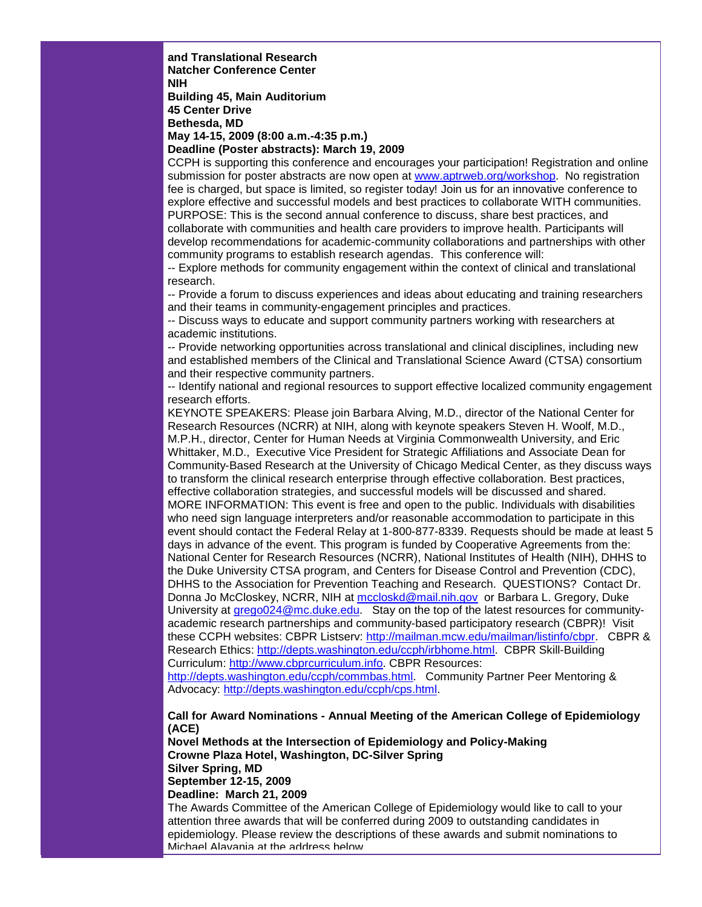**and Translational Research Natcher Conference Center NIH Building 45, Main Auditorium 45 Center Drive Bethesda, MD May 14-15, 2009 (8:00 a.m.-4:35 p.m.)**

**Deadline (Poster abstracts): March 19, 2009**

CCPH is supporting this conference and encourages your participation! Registration and online submission for poster abstracts are now open at [www.aptrweb.org/workshop.](http://www.aptrweb.org/workshop) No registration fee is charged, but space is limited, so register today! Join us for an innovative conference to explore effective and successful models and best practices to collaborate WITH communities. PURPOSE: This is the second annual conference to discuss, share best practices, and collaborate with communities and health care providers to improve health. Participants will develop recommendations for academic-community collaborations and partnerships with other

community programs to establish research agendas. This conference will:

-- Explore methods for community engagement within the context of clinical and translational research.

-- Provide a forum to discuss experiences and ideas about educating and training researchers and their teams in community-engagement principles and practices.

-- Discuss ways to educate and support community partners working with researchers at academic institutions.

-- Provide networking opportunities across translational and clinical disciplines, including new and established members of the Clinical and Translational Science Award (CTSA) consortium and their respective community partners.

-- Identify national and regional resources to support effective localized community engagement research efforts.

KEYNOTE SPEAKERS: Please join Barbara Alving, M.D., director of the National Center for Research Resources (NCRR) at NIH, along with keynote speakers Steven H. Woolf, M.D., M.P.H., director, Center for Human Needs at Virginia Commonwealth University, and Eric Whittaker, M.D., Executive Vice President for Strategic Affiliations and Associate Dean for Community-Based Research at the University of Chicago Medical Center, as they discuss ways to transform the clinical research enterprise through effective collaboration. Best practices, effective collaboration strategies, and successful models will be discussed and shared. MORE INFORMATION: This event is free and open to the public. Individuals with disabilities who need sign language interpreters and/or reasonable accommodation to participate in this event should contact the Federal Relay at 1-800-877-8339. Requests should be made at least 5 days in advance of the event. This program is funded by Cooperative Agreements from the: National Center for Research Resources (NCRR), National Institutes of Health (NIH), DHHS to the Duke University CTSA program, and Centers for Disease Control and Prevention (CDC), DHHS to the Association for Prevention Teaching and Research. QUESTIONS? Contact Dr. Donna Jo McCloskey, NCRR, NIH at [mccloskd@mail.nih.gov](mailto:mccloskd@mail.nih.gov) or Barbara L. Gregory, Duke University at [grego024@mc.duke.edu.](mailto:grego024@mc.duke.edu) Stay on the top of the latest resources for communityacademic research partnerships and community-based participatory research (CBPR)! Visit these CCPH websites: CBPR Listserv: [http://mailman.mcw.edu/mailman/listinfo/cbpr.](http://rs6.net/tn.jsp?et=1102500994978&e=001arP80SfAbhuBmfe5foF5ntbBIe3PY3hxRPJ7iHMOtA6DeIUNMGD-Vqd5wZXLYfRUw5URKSNHtgV7mjIXDr-xoQbOTUSsRrZjgmMBqhHLmJJXOqdrssCl3USs256UXPpc3QnbRAq3paM=) CBPR & Research Ethics: [http://depts.washington.edu/ccph/irbhome.html.](http://rs6.net/tn.jsp?et=1102500994978&e=001arP80SfAbhtqJQ2xlPO9al8JHB3QTOKX2wb0B8BKbLfOVhW84m-C4gmlGXZ9ScYBNmhuCO8N28eeu3FMz8iE0ny0UZQzjxaXW1AiMioYwr0tTKn9H_bPHPUHmwBi7iCh7-qCYYEELcU=) CBPR Skill-Building Curriculum: [http://www.cbprcurriculum.info.](http://www.cbprcurriculum.info/) CBPR Resources:

[http://depts.washington.edu/ccph/commbas.html.](http://rs6.net/tn.jsp?et=1102500994978&e=001arP80SfAbhsViC6TpLf5CMHteGr28Su8nbApYFrx2b_DkM6j7merTY-Fbg-XZiuehfP3scxQB0--v_tXDfnItpQlaM6OAGwqFve6_MspUmBEStZ8Yw0W-js90lhgpANb194TPo2PGHw=) Community Partner Peer Mentoring & Advocacy: [http://depts.washington.edu/ccph/cps.html.](http://rs6.net/tn.jsp?et=1102500994978&e=001arP80SfAbhvFnet4qf7ufg93iNBJROtrF7t-_pTbDjFW-pz-IIvZyEXswX6adjibUpNjbUOS3wCvqVZUc1ukEuh3dYWMw1a7u0y0N6zox18XD90lccOgm5rll8peo4v9TQLzX641n5k=)

**Call for Award Nominations - Annual Meeting of the American College of Epidemiology (ACE)**

**Novel Methods at the Intersection of Epidemiology and Policy-Making Crowne Plaza Hotel, Washington, DC-Silver Spring Silver Spring, MD September 12-15, 2009**

**Deadline: March 21, 2009**

The Awards Committee of the American College of Epidemiology would like to call to your attention three awards that will be conferred during 2009 to outstanding candidates in epidemiology. Please review the descriptions of these awards and submit nominations to Michael Alavanja at the address below.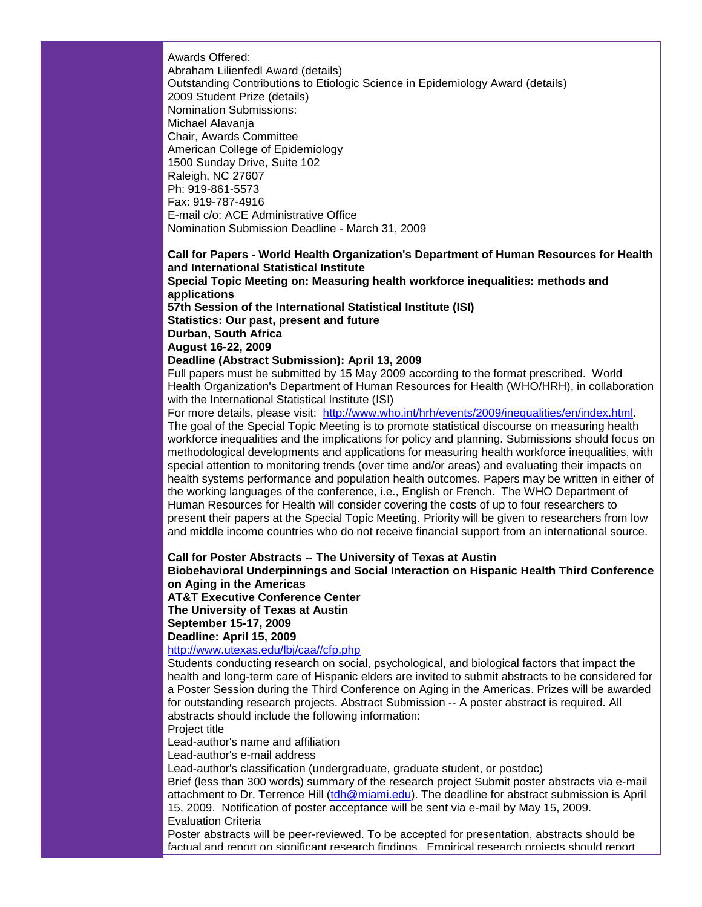Awards Offered: Abraham Lilienfedl Award (details) Outstanding Contributions to Etiologic Science in Epidemiology Award (details) 2009 Student Prize (details) Nomination Submissions: Michael Alavanja Chair, Awards Committee American College of Epidemiology 1500 Sunday Drive, Suite 102 Raleigh, NC 27607 Ph: 919-861-5573 Fax: 919-787-4916 E-mail c/o: ACE Administrative Office Nomination Submission Deadline - March 31, 2009

**Call for Papers - World Health Organization's Department of Human Resources for Health and International Statistical Institute Special Topic Meeting on: Measuring health workforce inequalities: methods and applications 57th Session of the International Statistical Institute (ISI) Statistics: Our past, present and future Durban, South Africa August 16-22, 2009 Deadline (Abstract Submission): April 13, 2009**

Full papers must be submitted by 15 May 2009 according to the format prescribed. World Health Organization's Department of Human Resources for Health (WHO/HRH), in collaboration with the International Statistical Institute (ISI)

For more details, please visit: [http://www.who.int/hrh/events/2009/inequalities/en/index.html.](http://rs6.net/tn.jsp?et=1102500994978&e=001arP80SfAbhuiUBazKymObQDZZ4ZYLY4Hi4Xukspi6RhBh2afFKTLIeDEcIpj8HI3yyEwbz_QuvASemIsV_VcjtaST81aqRcXfbBCzM2VlJIHnFGThB7WoiGcFxI7XwGPt1vBG-oRiu7Brn4k8seQpoOIU47LqLZhHL7UKBByj6g=) The goal of the Special Topic Meeting is to promote statistical discourse on measuring health workforce inequalities and the implications for policy and planning. Submissions should focus on methodological developments and applications for measuring health workforce inequalities, with special attention to monitoring trends (over time and/or areas) and evaluating their impacts on health systems performance and population health outcomes. Papers may be written in either of the working languages of the conference, i.e., English or French. The WHO Department of Human Resources for Health will consider covering the costs of up to four researchers to present their papers at the Special Topic Meeting. Priority will be given to researchers from low and middle income countries who do not receive financial support from an international source.

**Call for Poster Abstracts -- The University of Texas at Austin**

**Biobehavioral Underpinnings and Social Interaction on Hispanic Health Third Conference on Aging in the Americas**

**AT&T Executive Conference Center**

**The University of Texas at Austin**

**September 15-17, 2009**

**Deadline: April 15, 2009**

[http://www.utexas.edu/lbj/caa//cfp.php](http://rs6.net/tn.jsp?et=1102500994978&e=001arP80SfAbhv7HRpuuFfYAP_GOTQfOHJYLPUYz4MYxW9rcAJdFJr5WWK_p3UUHlRiPRAJHDyclMWlDnyqTvlfcpmP2JW9lN-8TNwwNJQWiOceJ0U_ZoUuKw211WYLPbEGoQShueOf8Wg=)

Students conducting research on social, psychological, and biological factors that impact the health and long-term care of Hispanic elders are invited to submit abstracts to be considered for a Poster Session during the Third Conference on Aging in the Americas. Prizes will be awarded for outstanding research projects. Abstract Submission -- A poster abstract is required. All abstracts should include the following information:

# Project title

Lead-author's name and affiliation

Lead-author's e-mail address

Lead-author's classification (undergraduate, graduate student, or postdoc)

Brief (less than 300 words) summary of the research project Submit poster abstracts via e-mail attachment to Dr. Terrence Hill [\(tdh@miami.edu\)](mailto:tdh@miami.edu). The deadline for abstract submission is April 15, 2009. Notification of poster acceptance will be sent via e-mail by May 15, 2009. Evaluation Criteria

Poster abstracts will be peer-reviewed. To be accepted for presentation, abstracts should be factual and report on significant research findings. Empirical research projects should report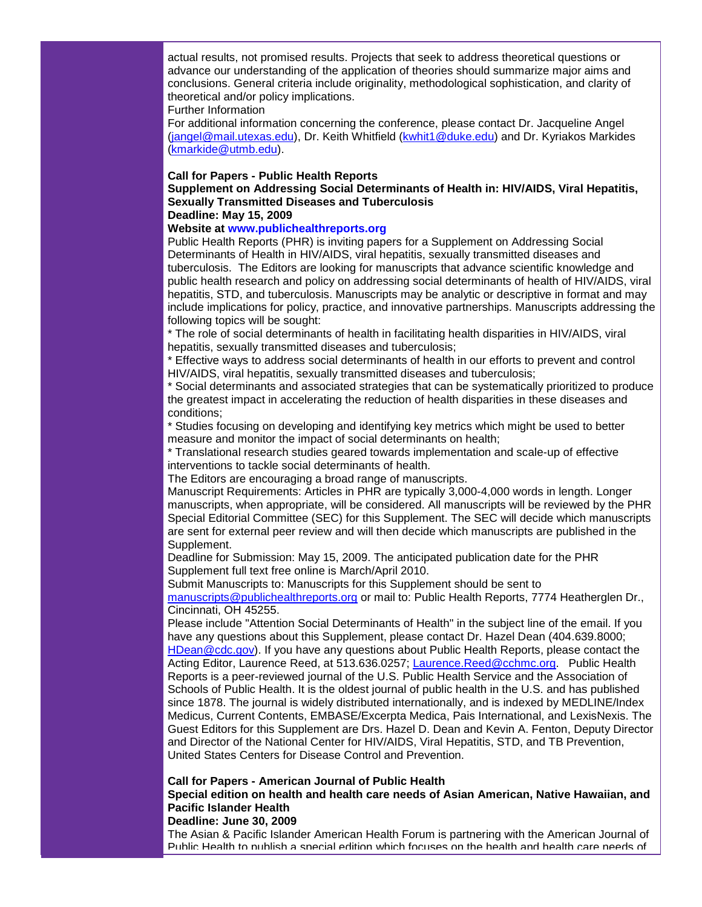actual results, not promised results. Projects that seek to address theoretical questions or advance our understanding of the application of theories should summarize major aims and conclusions. General criteria include originality, methodological sophistication, and clarity of theoretical and/or policy implications.

Further Information

For additional information concerning the conference, please contact Dr. Jacqueline Angel [\(jangel@mail.utexas.edu\)](mailto:jangel@mail.utexas.edu), Dr. Keith Whitfield [\(kwhit1@duke.edu\)](mailto:kwhit1@duke.edu) and Dr. Kyriakos Markides [\(kmarkide@utmb.edu\)](mailto:kmarkide@utmb.edu).

## **Call for Papers - Public Health Reports**

# **Supplement on Addressing Social Determinants of Health in: HIV/AIDS, Viral Hepatitis, Sexually Transmitted Diseases and Tuberculosis**

# **Deadline: May 15, 2009**

# **Website at [www.publichealthreports.org](http://rs6.net/tn.jsp?et=1102500994978&e=001arP80SfAbhtri8UXoyXeqLVaiP1uc3GWQafPo2wotQvsBFBe0l8NeW6shOPvSaxC-Zd1pSnwvAjHEUqvZMJWb8Ft5cf2CcnHogWwe5NZ5wK-p-U4c8QTRBRmic5nDj4g)**

Public Health Reports (PHR) is inviting papers for a Supplement on Addressing Social Determinants of Health in HIV/AIDS, viral hepatitis, sexually transmitted diseases and tuberculosis. The Editors are looking for manuscripts that advance scientific knowledge and public health research and policy on addressing social determinants of health of HIV/AIDS, viral hepatitis, STD, and tuberculosis. Manuscripts may be analytic or descriptive in format and may include implications for policy, practice, and innovative partnerships. Manuscripts addressing the following topics will be sought:

\* The role of social determinants of health in facilitating health disparities in HIV/AIDS, viral hepatitis, sexually transmitted diseases and tuberculosis;

\* Effective ways to address social determinants of health in our efforts to prevent and control HIV/AIDS, viral hepatitis, sexually transmitted diseases and tuberculosis;

\* Social determinants and associated strategies that can be systematically prioritized to produce the greatest impact in accelerating the reduction of health disparities in these diseases and conditions;

\* Studies focusing on developing and identifying key metrics which might be used to better measure and monitor the impact of social determinants on health;

\* Translational research studies geared towards implementation and scale-up of effective interventions to tackle social determinants of health.

The Editors are encouraging a broad range of manuscripts.

Manuscript Requirements: Articles in PHR are typically 3,000-4,000 words in length. Longer manuscripts, when appropriate, will be considered. All manuscripts will be reviewed by the PHR Special Editorial Committee (SEC) for this Supplement. The SEC will decide which manuscripts are sent for external peer review and will then decide which manuscripts are published in the Supplement.

Deadline for Submission: May 15, 2009. The anticipated publication date for the PHR Supplement full text free online is March/April 2010.

Submit Manuscripts to: Manuscripts for this Supplement should be sent to [manuscripts@publichealthreports.org](mailto:manuscripts@publichealthreports.org) or mail to: Public Health Reports, 7774 Heatherglen Dr., Cincinnati, OH 45255.

Please include "Attention Social Determinants of Health" in the subject line of the email. If you have any questions about this Supplement, please contact Dr. Hazel Dean (404.639.8000; [HDean@cdc.gov\)](mailto:HDean@cdc.gov). If you have any questions about Public Health Reports, please contact the Acting Editor, Laurence Reed, at 513.636.0257; [Laurence.Reed@cchmc.org.](mailto:Laurence.Reed@cchmc.org) Public Health Reports is a peer-reviewed journal of the U.S. Public Health Service and the Association of Schools of Public Health. It is the oldest journal of public health in the U.S. and has published since 1878. The journal is widely distributed internationally, and is indexed by MEDLINE/Index Medicus, Current Contents, EMBASE/Excerpta Medica, Pais International, and LexisNexis. The Guest Editors for this Supplement are Drs. Hazel D. Dean and Kevin A. Fenton, Deputy Director and Director of the National Center for HIV/AIDS, Viral Hepatitis, STD, and TB Prevention, United States Centers for Disease Control and Prevention.

## **Call for Papers - American Journal of Public Health**

**Special edition on health and health care needs of Asian American, Native Hawaiian, and Pacific Islander Health** 

# **Deadline: June 30, 2009**

The Asian & Pacific Islander American Health Forum is partnering with the American Journal of Public Health to publish a special edition which focuses on the health and health care needs of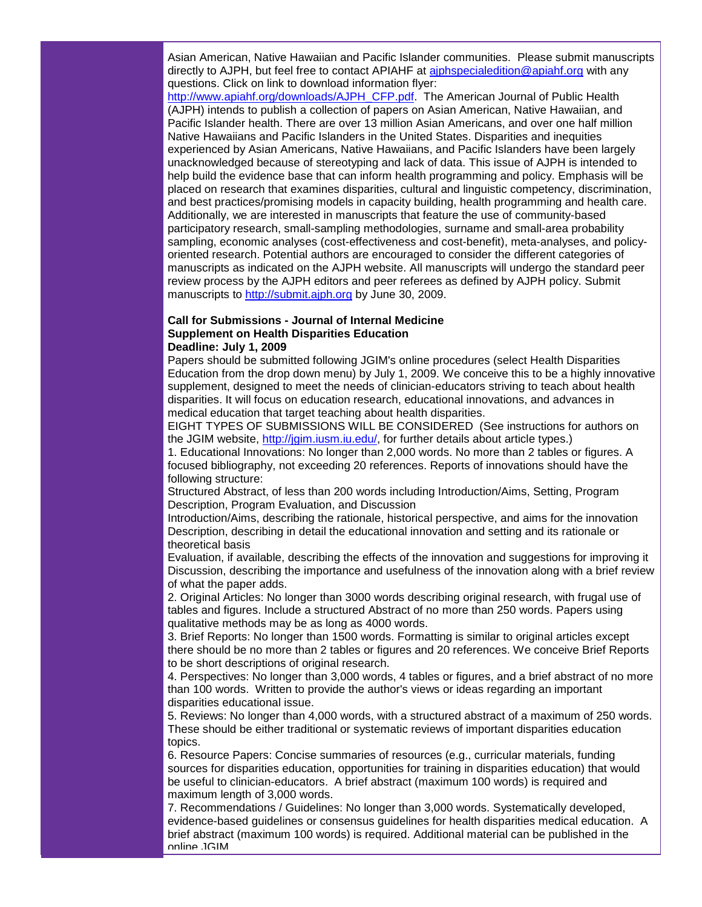Asian American, Native Hawaiian and Pacific Islander communities. Please submit manuscripts directly to AJPH, but feel free to contact APIAHF at [ajphspecialedition@apiahf.org](mailto:ajphspecialedition@apiahf.org) with any questions. Click on link to download information flyer:

[http://www.apiahf.org/downloads/AJPH\\_CFP.pdf.](http://rs6.net/tn.jsp?et=1102500994978&e=001arP80SfAbhuZ0ALPjzzymhxqE3UVuXe7RZ2p3_mUe6uY0nIfX2EEjjiID3N-5OJxKajGATIGvLg1Ivf5Eh3uhM7SfXMXUJYMo5N-aG1hlgyBYAl2aWtjgzx1T23KqNwZpeV8IWaGpto=) The American Journal of Public Health (AJPH) intends to publish a collection of papers on Asian American, Native Hawaiian, and Pacific Islander health. There are over 13 million Asian Americans, and over one half million Native Hawaiians and Pacific Islanders in the United States. Disparities and inequities experienced by Asian Americans, Native Hawaiians, and Pacific Islanders have been largely unacknowledged because of stereotyping and lack of data. This issue of AJPH is intended to help build the evidence base that can inform health programming and policy. Emphasis will be placed on research that examines disparities, cultural and linguistic competency, discrimination, and best practices/promising models in capacity building, health programming and health care. Additionally, we are interested in manuscripts that feature the use of community-based participatory research, small-sampling methodologies, surname and small-area probability sampling, economic analyses (cost-effectiveness and cost-benefit), meta-analyses, and policyoriented research. Potential authors are encouraged to consider the different categories of manuscripts as indicated on the AJPH website. All manuscripts will undergo the standard peer review process by the AJPH editors and peer referees as defined by AJPH policy. Submit manuscripts to [http://submit.ajph.org](http://rs6.net/tn.jsp?et=1102500994978&e=001arP80SfAbhsRwVjL19imEMJeaKhEtkX1IO-iaaWpmwxt4bN-BV8Ajq0_Dst5PgbKNqw23lcxh_4K8In-VcoG4GQgSnu7-CrcLcNSt0NaGyk=) by June 30, 2009.

## **Call for Submissions - Journal of Internal Medicine Supplement on Health Disparities Education Deadline: July 1, 2009**

Papers should be submitted following JGIM's online procedures (select Health Disparities Education from the drop down menu) by July 1, 2009. We conceive this to be a highly innovative supplement, designed to meet the needs of clinician-educators striving to teach about health disparities. It will focus on education research, educational innovations, and advances in medical education that target teaching about health disparities.

EIGHT TYPES OF SUBMISSIONS WILL BE CONSIDERED (See instructions for authors on the JGIM website, [http://jgim.iusm.iu.edu/,](http://jgim.iusm.iu.edu/) for further details about article types.)

1. Educational Innovations: No longer than 2,000 words. No more than 2 tables or figures. A focused bibliography, not exceeding 20 references. Reports of innovations should have the following structure:

Structured Abstract, of less than 200 words including Introduction/Aims, Setting, Program Description, Program Evaluation, and Discussion

Introduction/Aims, describing the rationale, historical perspective, and aims for the innovation Description, describing in detail the educational innovation and setting and its rationale or theoretical basis

Evaluation, if available, describing the effects of the innovation and suggestions for improving it Discussion, describing the importance and usefulness of the innovation along with a brief review of what the paper adds.

2. Original Articles: No longer than 3000 words describing original research, with frugal use of tables and figures. Include a structured Abstract of no more than 250 words. Papers using qualitative methods may be as long as 4000 words.

3. Brief Reports: No longer than 1500 words. Formatting is similar to original articles except there should be no more than 2 tables or figures and 20 references. We conceive Brief Reports to be short descriptions of original research.

4. Perspectives: No longer than 3,000 words, 4 tables or figures, and a brief abstract of no more than 100 words. Written to provide the author's views or ideas regarding an important disparities educational issue.

5. Reviews: No longer than 4,000 words, with a structured abstract of a maximum of 250 words. These should be either traditional or systematic reviews of important disparities education topics.

6. Resource Papers: Concise summaries of resources (e.g., curricular materials, funding sources for disparities education, opportunities for training in disparities education) that would be useful to clinician-educators. A brief abstract (maximum 100 words) is required and maximum length of 3,000 words.

7. Recommendations / Guidelines: No longer than 3,000 words. Systematically developed, evidence-based guidelines or consensus guidelines for health disparities medical education. A brief abstract (maximum 100 words) is required. Additional material can be published in the online JGIM.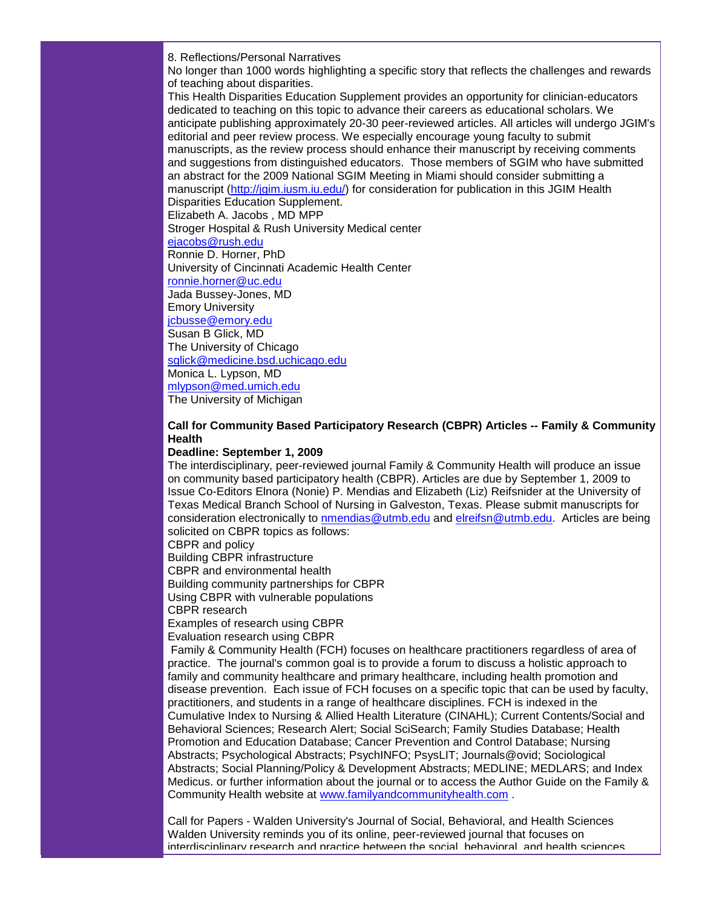8. Reflections/Personal Narratives

No longer than 1000 words highlighting a specific story that reflects the challenges and rewards of teaching about disparities.

This Health Disparities Education Supplement provides an opportunity for clinician-educators dedicated to teaching on this topic to advance their careers as educational scholars. We anticipate publishing approximately 20-30 peer-reviewed articles. All articles will undergo JGIM's editorial and peer review process. We especially encourage young faculty to submit manuscripts, as the review process should enhance their manuscript by receiving comments and suggestions from distinguished educators. Those members of SGIM who have submitted an abstract for the 2009 National SGIM Meeting in Miami should consider submitting a manuscript [\(http://jgim.iusm.iu.edu/\)](http://jgim.iusm.iu.edu/) for consideration for publication in this JGIM Health Disparities Education Supplement.

Elizabeth A. Jacobs , MD MPP

Stroger Hospital & Rush University Medical center

[ejacobs@rush.edu](mailto:ejacobs@rush.edu)

Ronnie D. Horner, PhD

University of Cincinnati Academic Health Center

[ronnie.horner@uc.edu](mailto:ronnie.horner@uc.edu) Jada Bussey-Jones, MD

Emory University

[jcbusse@emory.edu](mailto:jcbusse@emory.edu)

Susan B Glick, MD

The University of Chicago

[sglick@medicine.bsd.uchicago.edu](mailto:sglick@medicine.bsd.uchicago.edu)

Monica L. Lypson, MD

[mlypson@med.umich.edu](mailto:mlypson@med.umich.edu) The University of Michigan

# **Call for Community Based Participatory Research (CBPR) Articles -- Family & Community Health**

# **Deadline: September 1, 2009**

The interdisciplinary, peer-reviewed journal Family & Community Health will produce an issue on community based participatory health (CBPR). Articles are due by September 1, 2009 to Issue Co-Editors Elnora (Nonie) P. Mendias and Elizabeth (Liz) Reifsnider at the University of Texas Medical Branch School of Nursing in Galveston, Texas. Please submit manuscripts for consideration electronically to [nmendias@utmb.edu](mailto:nmendias@utmb.edu) and [elreifsn@utmb.edu.](mailto:elreifsn@utmb.edu) Articles are being solicited on CBPR topics as follows:

CBPR and policy Building CBPR infrastructure CBPR and environmental health Building community partnerships for CBPR Using CBPR with vulnerable populations CBPR research

Examples of research using CBPR

Evaluation research using CBPR

Family & Community Health (FCH) focuses on healthcare practitioners regardless of area of practice. The journal's common goal is to provide a forum to discuss a holistic approach to family and community healthcare and primary healthcare, including health promotion and disease prevention. Each issue of FCH focuses on a specific topic that can be used by faculty, practitioners, and students in a range of healthcare disciplines. FCH is indexed in the Cumulative Index to Nursing & Allied Health Literature (CINAHL); Current Contents/Social and Behavioral Sciences; Research Alert; Social SciSearch; Family Studies Database; Health Promotion and Education Database; Cancer Prevention and Control Database; Nursing Abstracts; Psychological Abstracts; PsychINFO; PsysLIT; Journals@ovid; Sociological Abstracts; Social Planning/Policy & Development Abstracts; MEDLINE; MEDLARS; and Index Medicus. or further information about the journal or to access the Author Guide on the Family & Community Health website at [www.familyandcommunityhealth.com](http://www.familyandcommunityhealth.com/) .

Call for Papers - Walden University's Journal of Social, Behavioral, and Health Sciences Walden University reminds you of its online, peer-reviewed journal that focuses on interdisciplinary research and practice between the social, behavioral, and health sciences.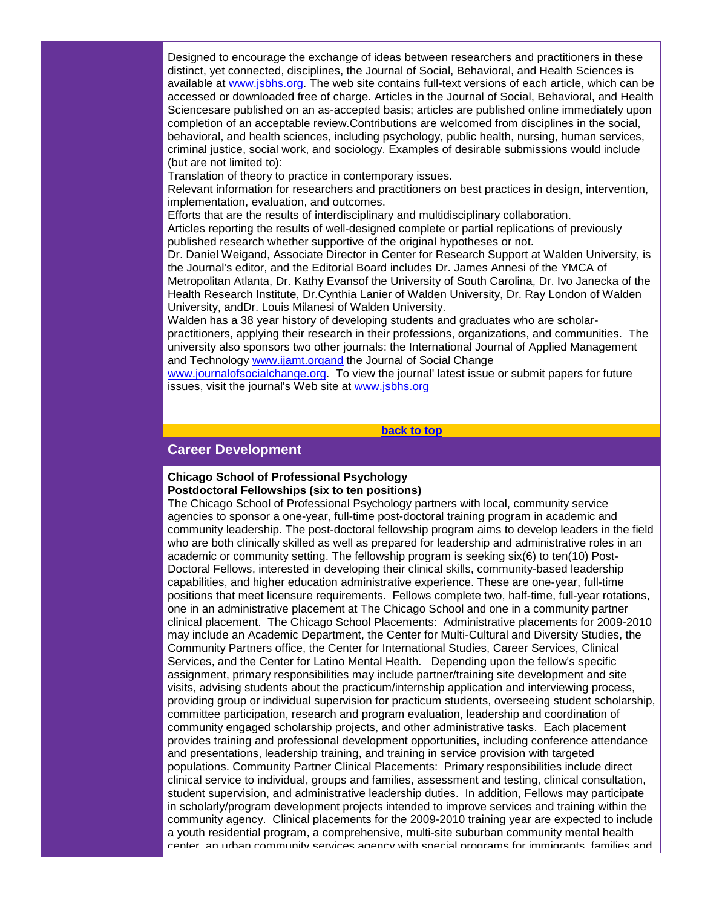Designed to encourage the exchange of ideas between researchers and practitioners in these distinct, yet connected, disciplines, the Journal of Social, Behavioral, and Health Sciences is available at [www.jsbhs.org.](http://www.jsbhs.org/) The web site contains full-text versions of each article, which can be accessed or downloaded free of charge. Articles in the Journal of Social, Behavioral, and Health Sciencesare published on an as-accepted basis; articles are published online immediately upon completion of an acceptable review.Contributions are welcomed from disciplines in the social, behavioral, and health sciences, including psychology, public health, nursing, human services, criminal justice, social work, and sociology. Examples of desirable submissions would include (but are not limited to):

Translation of theory to practice in contemporary issues.

Relevant information for researchers and practitioners on best practices in design, intervention, implementation, evaluation, and outcomes.

Efforts that are the results of interdisciplinary and multidisciplinary collaboration.

Articles reporting the results of well-designed complete or partial replications of previously published research whether supportive of the original hypotheses or not.

Dr. Daniel Weigand, Associate Director in Center for Research Support at Walden University, is the Journal's editor, and the Editorial Board includes Dr. James Annesi of the YMCA of Metropolitan Atlanta, Dr. Kathy Evansof the University of South Carolina, Dr. Ivo Janecka of the Health Research Institute, Dr.Cynthia Lanier of Walden University, Dr. Ray London of Walden University, andDr. Louis Milanesi of Walden University.

Walden has a 38 year history of developing students and graduates who are scholarpractitioners, applying their research in their professions, organizations, and communities. The university also sponsors two other journals: the International Journal of Applied Management and Technology [www.ijamt.organd](http://www.ijamt.organd/) the Journal of Social Change

[www.journalofsocialchange.org.](http://www.journalofsocialchange.org/) To view the journal' latest issue or submit papers for future issues, visit the journal's Web site at [www.jsbhs.org](http://www.jsbhs.org/)

## **[back to top](#page-0-3)**

# <span id="page-10-0"></span>**Career Development**

## **Chicago School of Professional Psychology Postdoctoral Fellowships (six to ten positions)**

The Chicago School of Professional Psychology partners with local, community service agencies to sponsor a one-year, full-time post-doctoral training program in academic and community leadership. The post-doctoral fellowship program aims to develop leaders in the field who are both clinically skilled as well as prepared for leadership and administrative roles in an academic or community setting. The fellowship program is seeking six(6) to ten(10) Post-Doctoral Fellows, interested in developing their clinical skills, community-based leadership capabilities, and higher education administrative experience. These are one-year, full-time positions that meet licensure requirements. Fellows complete two, half-time, full-year rotations, one in an administrative placement at The Chicago School and one in a community partner clinical placement. The Chicago School Placements: Administrative placements for 2009-2010 may include an Academic Department, the Center for Multi-Cultural and Diversity Studies, the Community Partners office, the Center for International Studies, Career Services, Clinical Services, and the Center for Latino Mental Health. Depending upon the fellow's specific assignment, primary responsibilities may include partner/training site development and site visits, advising students about the practicum/internship application and interviewing process, providing group or individual supervision for practicum students, overseeing student scholarship, committee participation, research and program evaluation, leadership and coordination of community engaged scholarship projects, and other administrative tasks. Each placement provides training and professional development opportunities, including conference attendance and presentations, leadership training, and training in service provision with targeted populations. Community Partner Clinical Placements: Primary responsibilities include direct clinical service to individual, groups and families, assessment and testing, clinical consultation, student supervision, and administrative leadership duties. In addition, Fellows may participate in scholarly/program development projects intended to improve services and training within the community agency. Clinical placements for the 2009-2010 training year are expected to include a youth residential program, a comprehensive, multi-site suburban community mental health center, an urban community services agency with special programs for immigrants, families and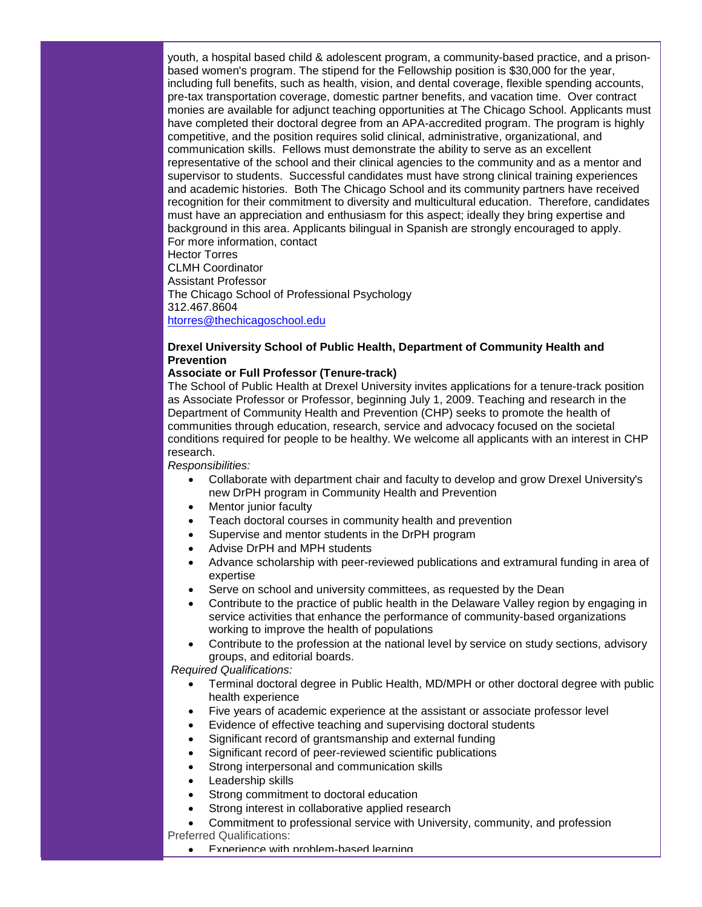youth, a hospital based child & adolescent program, a community-based practice, and a prisonbased women's program. The stipend for the Fellowship position is \$30,000 for the year, including full benefits, such as health, vision, and dental coverage, flexible spending accounts, pre-tax transportation coverage, domestic partner benefits, and vacation time. Over contract monies are available for adjunct teaching opportunities at The Chicago School. Applicants must have completed their doctoral degree from an APA-accredited program. The program is highly competitive, and the position requires solid clinical, administrative, organizational, and communication skills. Fellows must demonstrate the ability to serve as an excellent representative of the school and their clinical agencies to the community and as a mentor and supervisor to students. Successful candidates must have strong clinical training experiences and academic histories. Both The Chicago School and its community partners have received recognition for their commitment to diversity and multicultural education. Therefore, candidates must have an appreciation and enthusiasm for this aspect; ideally they bring expertise and background in this area. Applicants bilingual in Spanish are strongly encouraged to apply. For more information, contact

Hector Torres CLMH Coordinator Assistant Professor The Chicago School of Professional Psychology 312.467.8604 [htorres@thechicagoschool.edu](mailto:htorres@thechicagoschool.edu)

# **Drexel University School of Public Health, Department of Community Health and Prevention**

## **Associate or Full Professor (Tenure-track)**

The School of Public Health at Drexel University invites applications for a tenure-track position as Associate Professor or Professor, beginning July 1, 2009. Teaching and research in the Department of Community Health and Prevention (CHP) seeks to promote the health of communities through education, research, service and advocacy focused on the societal conditions required for people to be healthy. We welcome all applicants with an interest in CHP research.

*Responsibilities:*

- Collaborate with department chair and faculty to develop and grow Drexel University's new DrPH program in Community Health and Prevention
- Mentor junior faculty
- Teach doctoral courses in community health and prevention
- Supervise and mentor students in the DrPH program
- Advise DrPH and MPH students
- Advance scholarship with peer-reviewed publications and extramural funding in area of expertise
- Serve on school and university committees, as requested by the Dean
- Contribute to the practice of public health in the Delaware Valley region by engaging in service activities that enhance the performance of community-based organizations working to improve the health of populations
- Contribute to the profession at the national level by service on study sections, advisory groups, and editorial boards.

*Required Qualifications:*

- Terminal doctoral degree in Public Health, MD/MPH or other doctoral degree with public health experience
- Five years of academic experience at the assistant or associate professor level
- Evidence of effective teaching and supervising doctoral students
- Significant record of grantsmanship and external funding
- Significant record of peer-reviewed scientific publications
- Strong interpersonal and communication skills
- Leadership skills
- Strong commitment to doctoral education
- Strong interest in collaborative applied research
- Commitment to professional service with University, community, and profession Preferred Qualifications:
	- Experience with problem-based learning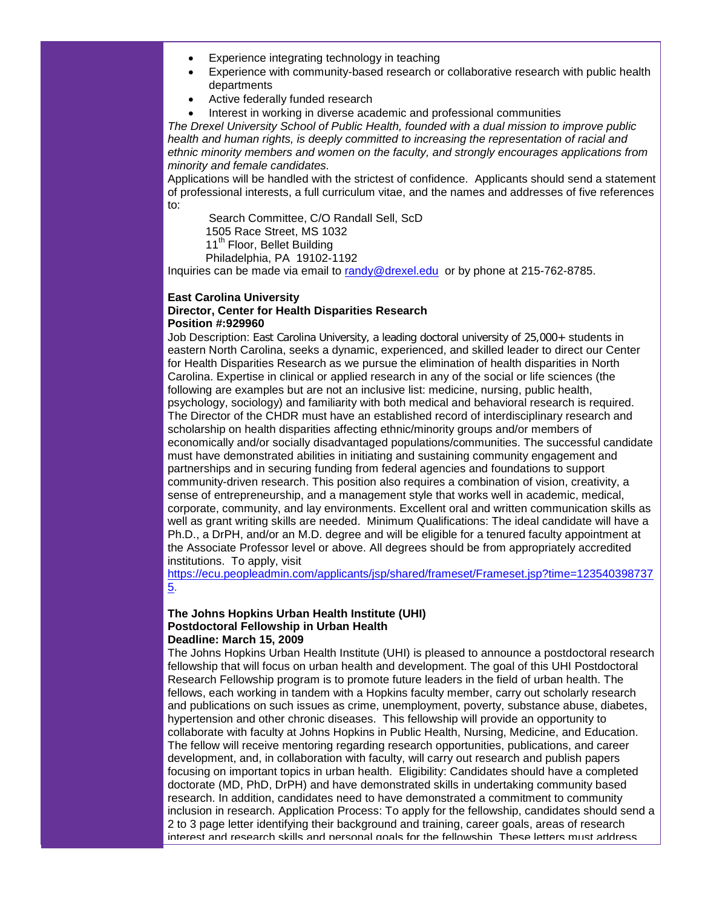- Experience integrating technology in teaching
- Experience with community-based research or collaborative research with public health departments
- Active federally funded research
- Interest in working in diverse academic and professional communities

*The Drexel University School of Public Health, founded with a dual mission to improve public*  health and human rights, is deeply committed to increasing the representation of racial and *ethnic minority members and women on the faculty, and strongly encourages applications from minority and female candidates.* 

Applications will be handled with the strictest of confidence. Applicants should send a statement of professional interests, a full curriculum vitae, and the names and addresses of five references to:

Search Committee, C/O Randall Sell, ScD

1505 Race Street, MS 1032

11<sup>th</sup> Floor, Bellet Building

Philadelphia, PA 19102-1192

Inquiries can be made via email to [randy@drexel.edu](mailto:randy@drexel.edu) or by phone at 215-762-8785.

## **East Carolina University Director, Center for Health Disparities Research Position #:929960**

Job Description: East Carolina University, a leading doctoral university of 25,000+ students in eastern North Carolina, seeks a dynamic, experienced, and skilled leader to direct our Center for Health Disparities Research as we pursue the elimination of health disparities in North Carolina. Expertise in clinical or applied research in any of the social or life sciences (the following are examples but are not an inclusive list: medicine, nursing, public health, psychology, sociology) and familiarity with both medical and behavioral research is required. The Director of the CHDR must have an established record of interdisciplinary research and scholarship on health disparities affecting ethnic/minority groups and/or members of economically and/or socially disadvantaged populations/communities. The successful candidate must have demonstrated abilities in initiating and sustaining community engagement and partnerships and in securing funding from federal agencies and foundations to support community-driven research. This position also requires a combination of vision, creativity, a sense of entrepreneurship, and a management style that works well in academic, medical, corporate, community, and lay environments. Excellent oral and written communication skills as well as grant writing skills are needed. Minimum Qualifications: The ideal candidate will have a Ph.D., a DrPH, and/or an M.D. degree and will be eligible for a tenured faculty appointment at the Associate Professor level or above. All degrees should be from appropriately accredited institutions. To apply, visit

[https://ecu.peopleadmin.com/applicants/jsp/shared/frameset/Frameset.jsp?time=123540398737](http://rs6.net/tn.jsp?et=1102500994978&e=001arP80SfAbhsvg2EaKOCBJmIvqM5Tg4kkzEJOUFu-GpX3LPMGAu2clfFTsn1du0YtMMF4FmyLV6XtcIzNM-7dA1OiIg5HHTbTgAGSsIrzYaa4ZRtgfE-ZTCJTTvi3vim4g84axUoFvgeF-_RGW64pIC9rYGE5cv0JKwfNlv0KDjEBfjBOS2t-iINadRHTRqCEwtaWpkeN75_c7SqPKe0vfg==) [5.](http://rs6.net/tn.jsp?et=1102500994978&e=001arP80SfAbhsvg2EaKOCBJmIvqM5Tg4kkzEJOUFu-GpX3LPMGAu2clfFTsn1du0YtMMF4FmyLV6XtcIzNM-7dA1OiIg5HHTbTgAGSsIrzYaa4ZRtgfE-ZTCJTTvi3vim4g84axUoFvgeF-_RGW64pIC9rYGE5cv0JKwfNlv0KDjEBfjBOS2t-iINadRHTRqCEwtaWpkeN75_c7SqPKe0vfg==)

#### **The Johns Hopkins Urban Health Institute (UHI) Postdoctoral Fellowship in Urban Health Deadline: March 15, 2009**

The Johns Hopkins Urban Health Institute (UHI) is pleased to announce a postdoctoral research fellowship that will focus on urban health and development. The goal of this UHI Postdoctoral Research Fellowship program is to promote future leaders in the field of urban health. The fellows, each working in tandem with a Hopkins faculty member, carry out scholarly research and publications on such issues as crime, unemployment, poverty, substance abuse, diabetes, hypertension and other chronic diseases. This fellowship will provide an opportunity to collaborate with faculty at Johns Hopkins in Public Health, Nursing, Medicine, and Education. The fellow will receive mentoring regarding research opportunities, publications, and career development, and, in collaboration with faculty, will carry out research and publish papers focusing on important topics in urban health. Eligibility: Candidates should have a completed doctorate (MD, PhD, DrPH) and have demonstrated skills in undertaking community based research. In addition, candidates need to have demonstrated a commitment to community inclusion in research. Application Process: To apply for the fellowship, candidates should send a 2 to 3 page letter identifying their background and training, career goals, areas of research interest and research skills and personal goals for the fellowship. These letters must address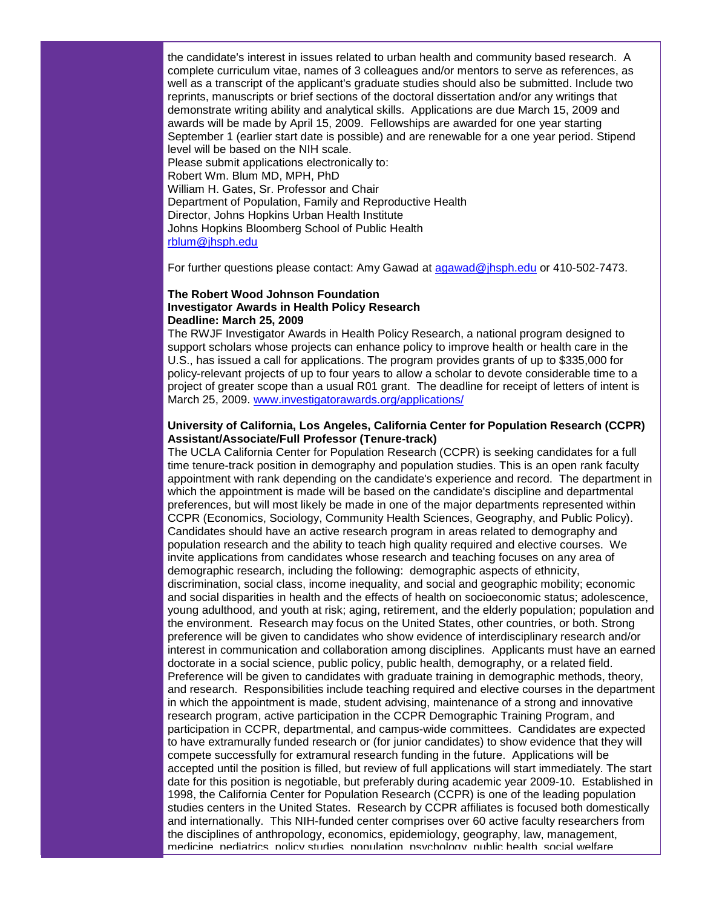the candidate's interest in issues related to urban health and community based research. A complete curriculum vitae, names of 3 colleagues and/or mentors to serve as references, as well as a transcript of the applicant's graduate studies should also be submitted. Include two reprints, manuscripts or brief sections of the doctoral dissertation and/or any writings that demonstrate writing ability and analytical skills. Applications are due March 15, 2009 and awards will be made by April 15, 2009. Fellowships are awarded for one year starting September 1 (earlier start date is possible) and are renewable for a one year period. Stipend level will be based on the NIH scale. Please submit applications electronically to: Robert Wm. Blum MD, MPH, PhD William H. Gates, Sr. Professor and Chair Department of Population, Family and Reproductive Health Director, Johns Hopkins Urban Health Institute Johns Hopkins Bloomberg School of Public Health [rblum@jhsph.edu](mailto:rblum@jhsph.edu)

For further questions please contact: Amy Gawad at [agawad@jhsph.edu](mailto:agawad@jhsph.edu) or 410-502-7473.

## **The Robert Wood Johnson Foundation Investigator Awards in Health Policy Research Deadline: March 25, 2009**

The RWJF Investigator Awards in Health Policy Research, a national program designed to support scholars whose projects can enhance policy to improve health or health care in the U.S., has issued a call for applications. The program provides grants of up to \$335,000 for policy-relevant projects of up to four years to allow a scholar to devote considerable time to a project of greater scope than a usual R01 grant. The deadline for receipt of letters of intent is March 25, 2009. [www.investigatorawards.org/applications/](http://rs6.net/tn.jsp?et=1102500994978&e=001arP80SfAbhtdhn48IjjhFY1Gi63xwhYQubjc5Cj-DXkMz4uSNak_dmXiZKjF-Zfm3vkDB-cFEd0PTd_OawLtmgspZ2XVkz0bNYXrF-M5Llapxjd3TdQYVYVq4_j-o5xySU1jk2-Y_7ND976eyjFceA==)

# **University of California, Los Angeles, California Center for Population Research (CCPR) Assistant/Associate/Full Professor (Tenure-track)**

The UCLA California Center for Population Research (CCPR) is seeking candidates for a full time tenure-track position in demography and population studies. This is an open rank faculty appointment with rank depending on the candidate's experience and record. The department in which the appointment is made will be based on the candidate's discipline and departmental preferences, but will most likely be made in one of the major departments represented within CCPR (Economics, Sociology, Community Health Sciences, Geography, and Public Policy). Candidates should have an active research program in areas related to demography and population research and the ability to teach high quality required and elective courses. We invite applications from candidates whose research and teaching focuses on any area of demographic research, including the following: demographic aspects of ethnicity, discrimination, social class, income inequality, and social and geographic mobility; economic and social disparities in health and the effects of health on socioeconomic status; adolescence, young adulthood, and youth at risk; aging, retirement, and the elderly population; population and the environment. Research may focus on the United States, other countries, or both. Strong preference will be given to candidates who show evidence of interdisciplinary research and/or interest in communication and collaboration among disciplines. Applicants must have an earned doctorate in a social science, public policy, public health, demography, or a related field. Preference will be given to candidates with graduate training in demographic methods, theory, and research. Responsibilities include teaching required and elective courses in the department in which the appointment is made, student advising, maintenance of a strong and innovative research program, active participation in the CCPR Demographic Training Program, and participation in CCPR, departmental, and campus-wide committees. Candidates are expected to have extramurally funded research or (for junior candidates) to show evidence that they will compete successfully for extramural research funding in the future. Applications will be accepted until the position is filled, but review of full applications will start immediately. The start date for this position is negotiable, but preferably during academic year 2009-10. Established in 1998, the California Center for Population Research (CCPR) is one of the leading population studies centers in the United States. Research by CCPR affiliates is focused both domestically and internationally. This NIH-funded center comprises over 60 active faculty researchers from the disciplines of anthropology, economics, epidemiology, geography, law, management, medicine, pediatrics, policy studies, population, psychology, public health, social welfare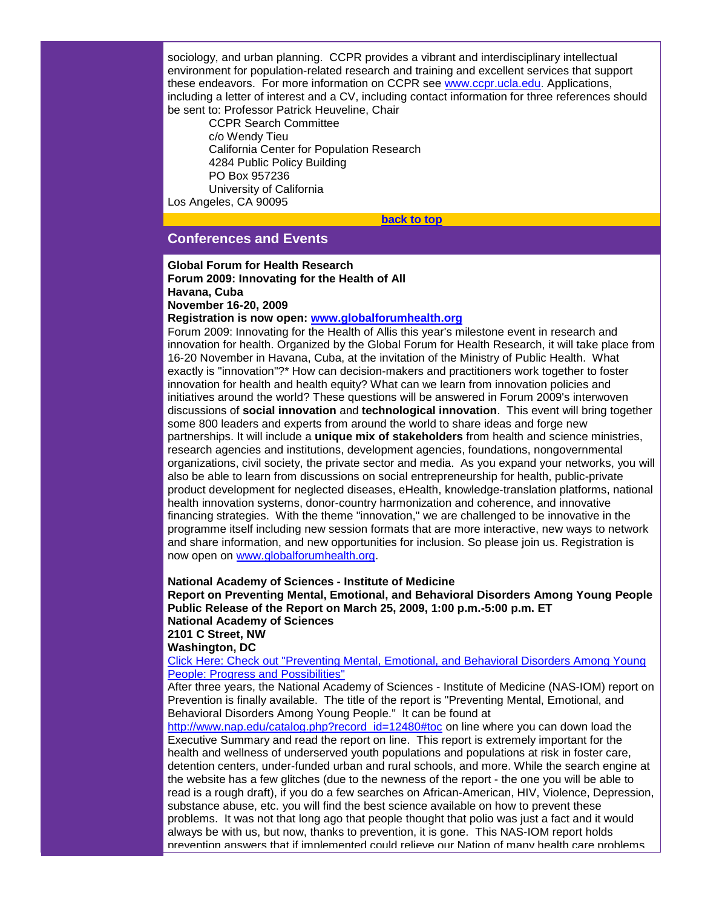sociology, and urban planning. CCPR provides a vibrant and interdisciplinary intellectual environment for population-related research and training and excellent services that support these endeavors. For more information on CCPR see [www.ccpr.ucla.edu.](http://rs6.net/tn.jsp?et=1102500994978&e=001arP80SfAbhuJwNi-XMkvXxLG8EC-EOwrYWODOwAJelsiZDBinGiBjWcOtNrb495UduEUBb0WsJ_fJXTkWdxYWbeN5FY9ABbfCM1ak1yVeN9NABLANjg2Tw==) Applications, including a letter of interest and a CV, including contact information for three references should be sent to: Professor Patrick Heuveline, Chair

CCPR Search Committee c/o Wendy Tieu California Center for Population Research 4284 Public Policy Building PO Box 957236 University of California Los Angeles, CA 90095

**[back to top](#page-0-3)**

# <span id="page-14-0"></span>**Conferences and Events**

# **Global Forum for Health Research Forum 2009: Innovating for the Health of All Havana, Cuba November 16-20, 2009**

**Registration is now open: [www.globalforumhealth.org](http://rs6.net/tn.jsp?et=1102500994978&e=001arP80SfAbhukPwlgfjYssahjVne6zQsvw7p92PsmhmXBjy4cuV6pmSK8YdxmOzp1ee9LVx254uLHxvfon-LN4tMDw47dOil4j9aAE34oXdSP04IGUeKjyj6aI48bGx3s)**

Forum 2009: Innovating for the Health of Allis this year's milestone event in research and innovation for health. Organized by the Global Forum for Health Research, it will take place from 16-20 November in Havana, Cuba, at the invitation of the Ministry of Public Health. What exactly is "innovation"?\* How can decision-makers and practitioners work together to foster innovation for health and health equity? What can we learn from innovation policies and initiatives around the world? These questions will be answered in Forum 2009's interwoven discussions of **social innovation** and **technological innovation**. This event will bring together some 800 leaders and experts from around the world to share ideas and forge new partnerships. It will include a **unique mix of stakeholders** from health and science ministries, research agencies and institutions, development agencies, foundations, nongovernmental organizations, civil society, the private sector and media. As you expand your networks, you will also be able to learn from discussions on social entrepreneurship for health, public-private product development for neglected diseases, eHealth, knowledge-translation platforms, national health innovation systems, donor-country harmonization and coherence, and innovative financing strategies. With the theme "innovation," we are challenged to be innovative in the programme itself including new session formats that are more interactive, new ways to network and share information, and new opportunities for inclusion. So please join us. Registration is now open on [www.globalforumhealth.org.](http://rs6.net/tn.jsp?et=1102500994978&e=001arP80SfAbhukPwlgfjYssahjVne6zQsvw7p92PsmhmXBjy4cuV6pmSK8YdxmOzp1ee9LVx254uLHxvfon-LN4tMDw47dOil4j9aAE34oXdSP04IGUeKjyj6aI48bGx3s)

## **National Academy of Sciences - Institute of Medicine**

**Report on Preventing Mental, Emotional, and Behavioral Disorders Among Young People Public Release of the Report on March 25, 2009, 1:00 p.m.-5:00 p.m. ET National Academy of Sciences**

**2101 C Street, NW**

**Washington, DC**

[Click Here: Check out "Preventing Mental, Emotional, and Behavioral Disorders Among Young](http://rs6.net/tn.jsp?et=1102500994978&e=001arP80SfAbhuLW6MilfwPriyasAZCvHqXLrfRA9Psa4sB5W5Bp2WRd0hrsEDHdAmnIsgFZU2z8U-n2awCo3ikC6v5GAuUS_Iyi7F4Wo4tyyjppc-RkMDIqedsUQWMAi_Sqc_jQo0z73APhx_NT_Gy-KxinmLULwVV)  [People: Progress and Possibilities"](http://rs6.net/tn.jsp?et=1102500994978&e=001arP80SfAbhuLW6MilfwPriyasAZCvHqXLrfRA9Psa4sB5W5Bp2WRd0hrsEDHdAmnIsgFZU2z8U-n2awCo3ikC6v5GAuUS_Iyi7F4Wo4tyyjppc-RkMDIqedsUQWMAi_Sqc_jQo0z73APhx_NT_Gy-KxinmLULwVV)

After three years, the National Academy of Sciences - Institute of Medicine (NAS-IOM) report on Prevention is finally available. The title of the report is "Preventing Mental, Emotional, and Behavioral Disorders Among Young People." It can be found at

[http://www.nap.edu/catalog.php?record\\_id=12480#toc](http://rs6.net/tn.jsp?et=1102500994978&e=001arP80SfAbhtELviH13mroJspFg4zlXniKl-YoEVZVSZq0HUA1xkWGScvl9iePDkSiK8uTVOHPjyKseUFAt7nmPq12KhvlCXQTGiTASETkUXpG4i4wVHgTdOan4OKSprIu78ES-OTVUWzS4WzF4onhA==) on line where you can down load the Executive Summary and read the report on line. This report is extremely important for the health and wellness of underserved youth populations and populations at risk in foster care, detention centers, under-funded urban and rural schools, and more. While the search engine at the website has a few glitches (due to the newness of the report - the one you will be able to read is a rough draft), if you do a few searches on African-American, HIV, Violence, Depression, substance abuse, etc. you will find the best science available on how to prevent these problems. It was not that long ago that people thought that polio was just a fact and it would always be with us, but now, thanks to prevention, it is gone. This NAS-IOM report holds prevention answers that if implemented could relieve our Nation of many health care problems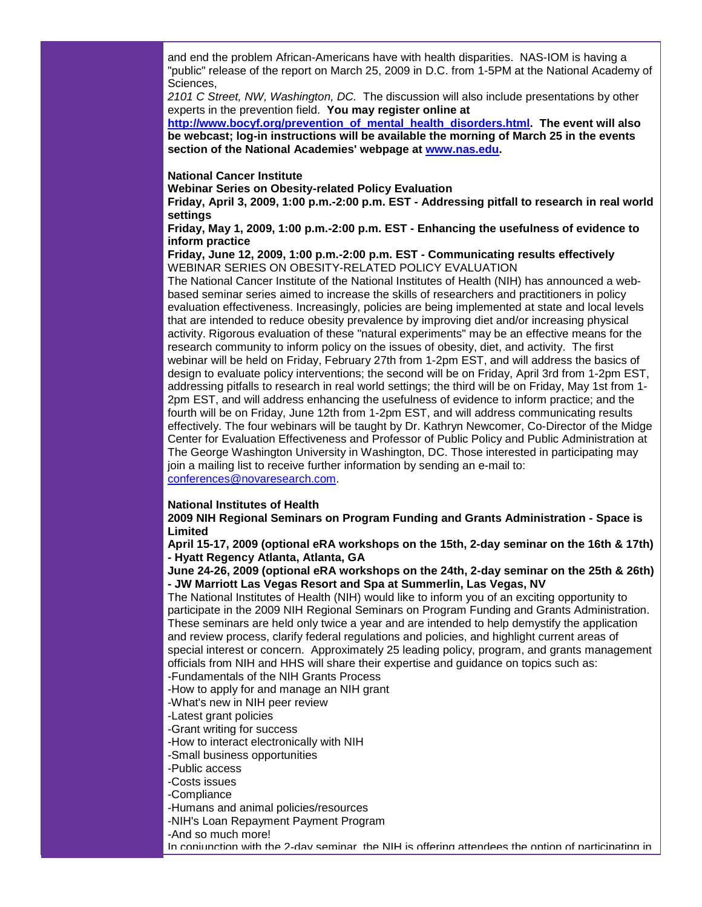and end the problem African-Americans have with health disparities. NAS-IOM is having a "public" release of the report on March 25, 2009 in D.C. from 1-5PM at the National Academy of Sciences,

*2101 C Street, NW, Washington, DC.* The discussion will also include presentations by other experts in the prevention field. **You may register online at** 

**[http://www.bocyf.org/prevention\\_of\\_mental\\_health\\_disorders.html.](http://rs6.net/tn.jsp?et=1102500994978&e=001arP80SfAbhsP-WdkOchmJAt1UCbRuqhWykOZo0dftgjjT7B1G_vARZ1x3nELWJNmWOorEy6h94wqpq0mwPES-iPVO13YrCU5F9twAxyCrm0psJA0cncVa4y4QcEv8FzR4dDb5Op5-aP1HoJS3hKExm6LXeR-tQCE) The event will also be webcast; log-in instructions will be available the morning of March 25 in the events section of the National Academies' webpage at [www.nas.edu.](http://rs6.net/tn.jsp?et=1102500994978&e=001arP80SfAbhuD6kU-rIaqlbdzyOK2eIIeWxUvvw8J15_8ax4Cz6SsO-3s6W898AELObi7gaRw8xK_AQTltKf62YHzijVENrjaCUdKC2lChTM=)**

## **National Cancer Institute**

**Webinar Series on Obesity-related Policy Evaluation**

**Friday, April 3, 2009, 1:00 p.m.-2:00 p.m. EST - Addressing pitfall to research in real world settings**

**Friday, May 1, 2009, 1:00 p.m.-2:00 p.m. EST - Enhancing the usefulness of evidence to inform practice**

**Friday, June 12, 2009, 1:00 p.m.-2:00 p.m. EST - Communicating results effectively** WEBINAR SERIES ON OBESITY-RELATED POLICY EVALUATION

The National Cancer Institute of the National Institutes of Health (NIH) has announced a webbased seminar series aimed to increase the skills of researchers and practitioners in policy evaluation effectiveness. Increasingly, policies are being implemented at state and local levels that are intended to reduce obesity prevalence by improving diet and/or increasing physical activity. Rigorous evaluation of these "natural experiments" may be an effective means for the research community to inform policy on the issues of obesity, diet, and activity. The first webinar will be held on Friday, February 27th from 1-2pm EST, and will address the basics of design to evaluate policy interventions; the second will be on Friday, April 3rd from 1-2pm EST, addressing pitfalls to research in real world settings; the third will be on Friday, May 1st from 1- 2pm EST, and will address enhancing the usefulness of evidence to inform practice; and the fourth will be on Friday, June 12th from 1-2pm EST, and will address communicating results effectively. The four webinars will be taught by Dr. Kathryn Newcomer, Co-Director of the Midge Center for Evaluation Effectiveness and Professor of Public Policy and Public Administration at The George Washington University in Washington, DC. Those interested in participating may join a mailing list to receive further information by sending an e-mail to: [conferences@novaresearch.com.](mailto:conferences@novaresearch.com)

### **National Institutes of Health**

**2009 NIH Regional Seminars on Program Funding and Grants Administration - Space is Limited**

**April 15-17, 2009 (optional eRA workshops on the 15th, 2-day seminar on the 16th & 17th) - Hyatt Regency Atlanta, Atlanta, GA**

**June 24-26, 2009 (optional eRA workshops on the 24th, 2-day seminar on the 25th & 26th) - JW Marriott Las Vegas Resort and Spa at Summerlin, Las Vegas, NV**

The National Institutes of Health (NIH) would like to inform you of an exciting opportunity to participate in the 2009 NIH Regional Seminars on Program Funding and Grants Administration. These seminars are held only twice a year and are intended to help demystify the application and review process, clarify federal regulations and policies, and highlight current areas of special interest or concern. Approximately 25 leading policy, program, and grants management officials from NIH and HHS will share their expertise and guidance on topics such as:

-Fundamentals of the NIH Grants Process

-How to apply for and manage an NIH grant

-What's new in NIH peer review

-Latest grant policies

-Grant writing for success

-How to interact electronically with NIH

-Small business opportunities

-Public access

-Costs issues

-Compliance

-Humans and animal policies/resources

-NIH's Loan Repayment Payment Program

-And so much more!

In conjunction with the 2-day seminar, the NIH is offering attendees the option of participating in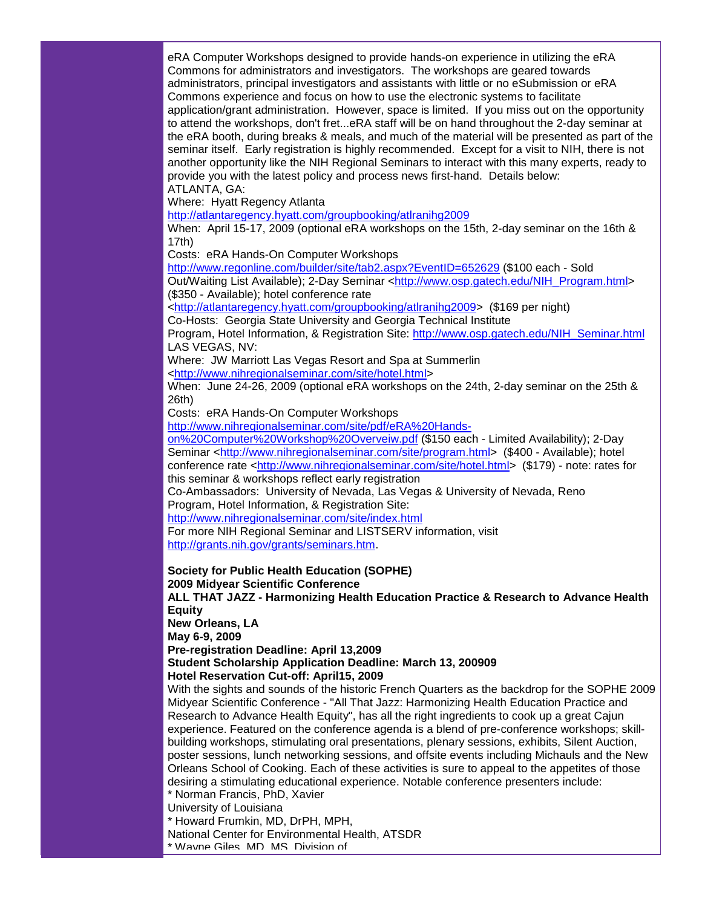eRA Computer Workshops designed to provide hands-on experience in utilizing the eRA Commons for administrators and investigators. The workshops are geared towards administrators, principal investigators and assistants with little or no eSubmission or eRA Commons experience and focus on how to use the electronic systems to facilitate application/grant administration. However, space is limited. If you miss out on the opportunity to attend the workshops, don't fret...eRA staff will be on hand throughout the 2-day seminar at the eRA booth, during breaks & meals, and much of the material will be presented as part of the seminar itself. Early registration is highly recommended. Except for a visit to NIH, there is not another opportunity like the NIH Regional Seminars to interact with this many experts, ready to provide you with the latest policy and process news first-hand. Details below: ATLANTA, GA:

Where: Hyatt Regency Atlanta

[http://atlantaregency.hyatt.com/groupbooking/atlranihg2009](http://rs6.net/tn.jsp?et=1102500994978&e=001arP80SfAbhtWzt0W-BgJUmWaurwEnCppII_VfNNtNrHS6BQ2bXYMERTCzkBooKHHQg2IVPkkaNkP0zeMeeznfcCVltgQbPp_cl1bWQKtGzQRzQeNYOJ5oOa14FlPqVMFlxJjfR0-MjNHLNaflY0F9si76Vr0T_3Z)

When: April 15-17, 2009 (optional eRA workshops on the 15th, 2-day seminar on the 16th & 17th)

Costs: eRA Hands-On Computer Workshops

[http://www.regonline.com/builder/site/tab2.aspx?EventID=652629](http://rs6.net/tn.jsp?et=1102500994978&e=001arP80SfAbhv9e8kaWg3D1BnwS-iNRMFyyxgiVejceavD0kCtSYVNtI4266llPcbpu1mshpYSPgtD3fyvxFwJfjpi255B0ksrdE0_shSswy1FFLZIygnNywkSov8S_fjXmTM_pJqnx94pMu387PF-I1nMhOSw4rAfp1sXIhCKQLI=) (\$100 each - Sold Out/Waiting List Available); 2-Day Seminar [<http://www.osp.gatech.edu/NIH\\_Program.html>](http://rs6.net/tn.jsp?et=1102500994978&e=001arP80SfAbhsjzvk59cPEgiLBypoAUs3fsXSJKgVRxYnC_RVXshwB7Bg7ioDxZr6hiZMZvadAMvZWxeQ96HxEjSqULu9WBIAJPLAD-xncoUUPYeDUwRiCLX98T1o8bJBkyZkIskqdghY=)

(\$350 - Available); hotel conference rate

[<http://atlantaregency.hyatt.com/groupbooking/atlranihg2009>](http://rs6.net/tn.jsp?et=1102500994978&e=001arP80SfAbhtWzt0W-BgJUmWaurwEnCppII_VfNNtNrHS6BQ2bXYMERTCzkBooKHHQg2IVPkkaNkP0zeMeeznfcCVltgQbPp_cl1bWQKtGzQRzQeNYOJ5oOa14FlPqVMFlxJjfR0-MjNHLNaflY0F9si76Vr0T_3Z) (\$169 per night)

Co-Hosts: Georgia State University and Georgia Technical Institute

Program, Hotel Information, & Registration Site: [http://www.osp.gatech.edu/NIH\\_Seminar.html](http://rs6.net/tn.jsp?et=1102500994978&e=001arP80SfAbhtQPMmR8xBoD5Se18_KrtDyJPX3h952vIWldTotXcHrj_CFmYYuyoFMwXPHP7w_rrpt-Es8mHljNPYu4zZlFnM5-c8_EBRSa0ULt08GHC1U4J6En0qTfAEkEIWR0vTcxZ0=) LAS VEGAS, NV:

Where: JW Marriott Las Vegas Resort and Spa at Summerlin

[<http://www.nihregionalseminar.com/site/hotel.html>](http://rs6.net/tn.jsp?et=1102500994978&e=001arP80SfAbhuA0H-Jo16m9Tds7-e_CmWy7tSIpuFcXjsUPBTEEE5Eg3yH4fHifgeFv3-cYjQsQQRPZXFSWl9GWLScFJpPWy4kWVglf1p2sDh19Iu7rldscxIm1YLHBgVakqfTzOqwB9XDc6mxneC0Yw==)

When: June 24-26, 2009 (optional eRA workshops on the 24th, 2-day seminar on the 25th & 26th)

Costs: eRA Hands-On Computer Workshops

[http://www.nihregionalseminar.com/site/pdf/eRA%20Hands-](http://rs6.net/tn.jsp?et=1102500994978&e=001arP80SfAbhu-XFrMLYK9a_zMWhwn-LY0UGq5m80bbIlvNgl9kylXLBQCV-zT7E1YASI7txnuWODg8zgzoW1fcxxvThp54Rh-phXApq1XXvum9ShK4c8Ko-vc2EPrvMfTgg9_Rmxw4odBH0Fbt4ly9tVgYY7b3-PIJvI6wh_c8EgEnkjV-xFXVesCdNYwwNm7ymm10jfzDP4bXs8z31hUb4jfJkkBM1Lm)

[on%20Computer%20Workshop%20Overveiw.pdf](http://rs6.net/tn.jsp?et=1102500994978&e=001arP80SfAbhu-XFrMLYK9a_zMWhwn-LY0UGq5m80bbIlvNgl9kylXLBQCV-zT7E1YASI7txnuWODg8zgzoW1fcxxvThp54Rh-phXApq1XXvum9ShK4c8Ko-vc2EPrvMfTgg9_Rmxw4odBH0Fbt4ly9tVgYY7b3-PIJvI6wh_c8EgEnkjV-xFXVesCdNYwwNm7ymm10jfzDP4bXs8z31hUb4jfJkkBM1Lm) (\$150 each - Limited Availability); 2-Day Seminar [<http://www.nihregionalseminar.com/site/program.html>](http://rs6.net/tn.jsp?et=1102500994978&e=001arP80SfAbhulwA3ovHaB-MN7lKjtezGEnK4gB9htnN6wp4a7MuHqNWqC5XtYFaXCn8CcMoMvg9ICBe4AHBYrH5p2X6yUPjuBbduajW5QlDLnFj1dGS9RE-3eia7oLbTxhOgb8p5K943hNe965flLwQ==) (\$400 - Available); hotel conference rate [<http://www.nihregionalseminar.com/site/hotel.html>](http://rs6.net/tn.jsp?et=1102500994978&e=001arP80SfAbhuA0H-Jo16m9Tds7-e_CmWy7tSIpuFcXjsUPBTEEE5Eg3yH4fHifgeFv3-cYjQsQQRPZXFSWl9GWLScFJpPWy4kWVglf1p2sDh19Iu7rldscxIm1YLHBgVakqfTzOqwB9XDc6mxneC0Yw==) (\$179) - note: rates for this seminar & workshops reflect early registration

Co-Ambassadors: University of Nevada, Las Vegas & University of Nevada, Reno Program, Hotel Information, & Registration Site:

[http://www.nihregionalseminar.com/site/index.html](http://rs6.net/tn.jsp?et=1102500994978&e=001arP80SfAbht85G5uH0aSz4MzJbkwy-2Frn8vkuQzDWtAMkHocGxX7bxD5DYHdldkAEFqQMBXjmhhTWx_lWBHQ8jBwAvRbLwBCli2Cg1OApPLzujQ4HgFMp4Oru1DKRnWJaF2VQ1APnuHIlmI5sNsRw==)

For more NIH Regional Seminar and LISTSERV information, visit [http://grants.nih.gov/grants/seminars.htm.](http://rs6.net/tn.jsp?et=1102500994978&e=001arP80SfAbhuauVryYTSc7QyUIy2407M_GSvMuzgChCMFyQpkU3SsgUnqtiAbkV3zh5ROwcg3C8Emx4AFCFSuncplmJRUmK69JimxzV8UFZEdQJiz82eIFZLiC7QGKGV3EXMdX7UNcC8=)

**Society for Public Health Education (SOPHE) 2009 Midyear Scientific Conference**

**ALL THAT JAZZ - Harmonizing Health Education Practice & Research to Advance Health Equity** 

**New Orleans, LA**

**May 6-9, 2009**

**Pre-registration Deadline: April 13,2009**

**Student Scholarship Application Deadline: March 13, 200909**

**Hotel Reservation Cut-off: April15, 2009**

With the sights and sounds of the historic French Quarters as the backdrop for the SOPHE 2009 Midyear Scientific Conference - "All That Jazz: Harmonizing Health Education Practice and Research to Advance Health Equity", has all the right ingredients to cook up a great Cajun experience. Featured on the conference agenda is a blend of pre-conference workshops; skillbuilding workshops, stimulating oral presentations, plenary sessions, exhibits, Silent Auction, poster sessions, lunch networking sessions, and offsite events including Michauls and the New Orleans School of Cooking. Each of these activities is sure to appeal to the appetites of those desiring a stimulating educational experience. Notable conference presenters include: \* Norman Francis, PhD, Xavier

University of Louisiana

\* Howard Frumkin, MD, DrPH, MPH,

National Center for Environmental Health, ATSDR

\* Wayne Giles, MD, MS, Division of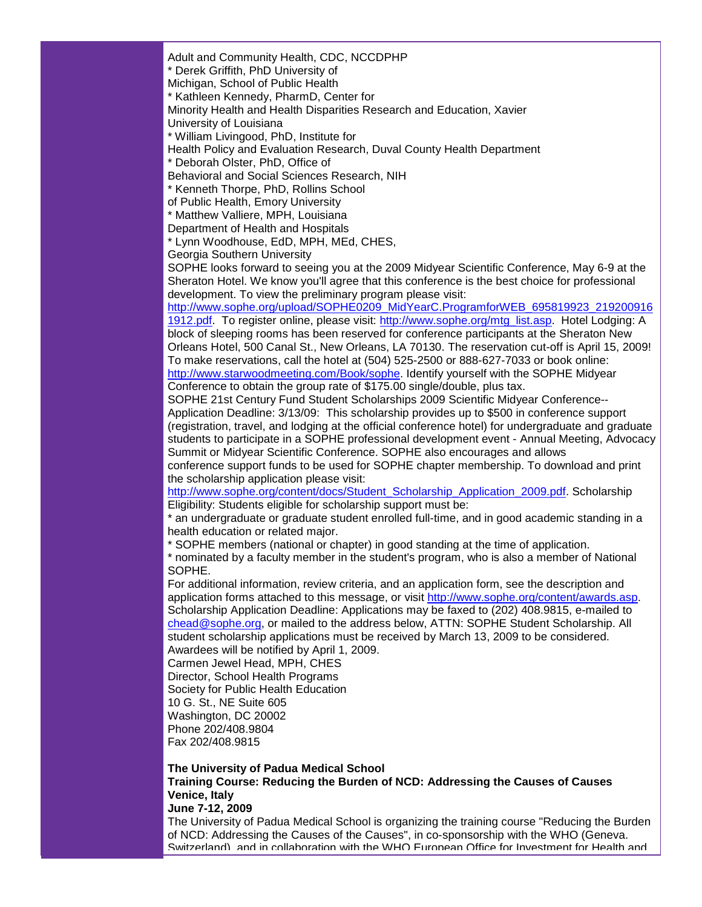Adult and Community Health, CDC, NCCDPHP

\* Derek Griffith, PhD University of

Michigan, School of Public Health

\* Kathleen Kennedy, PharmD, Center for

Minority Health and Health Disparities Research and Education, Xavier

University of Louisiana

\* William Livingood, PhD, Institute for

Health Policy and Evaluation Research, Duval County Health Department

\* Deborah Olster, PhD, Office of

Behavioral and Social Sciences Research, NIH

\* Kenneth Thorpe, PhD, Rollins School

of Public Health, Emory University

\* Matthew Valliere, MPH, Louisiana

Department of Health and Hospitals

\* Lynn Woodhouse, EdD, MPH, MEd, CHES,

Georgia Southern University

SOPHE looks forward to seeing you at the 2009 Midyear Scientific Conference, May 6-9 at the Sheraton Hotel. We know you'll agree that this conference is the best choice for professional development. To view the preliminary program please visit:

[http://www.sophe.org/upload/SOPHE0209\\_MidYearC.ProgramforWEB\\_695819923\\_219200916](http://rs6.net/tn.jsp?et=1102500994978&e=001arP80SfAbhtqtYuR83JI4qBSBMSM12YYw4wQ7Gswg5r7tcYgZm1DRWNHo4rggth4BcgfaaeDsKRxBkQZ2ak1A0SsCzS3DcrYh2nVgwvgoZZWKDNfcfVuOFMNF5gK1H2mJbo9c86yxgAulGp73xZ4KMUJGvTH7xwNv1oadIu7_gClV8CRPd2M2bGgGsbMmJ2JNcfkBatTiwA=) [1912.pdf.](http://rs6.net/tn.jsp?et=1102500994978&e=001arP80SfAbhtqtYuR83JI4qBSBMSM12YYw4wQ7Gswg5r7tcYgZm1DRWNHo4rggth4BcgfaaeDsKRxBkQZ2ak1A0SsCzS3DcrYh2nVgwvgoZZWKDNfcfVuOFMNF5gK1H2mJbo9c86yxgAulGp73xZ4KMUJGvTH7xwNv1oadIu7_gClV8CRPd2M2bGgGsbMmJ2JNcfkBatTiwA=) To register online, please visit: [http://www.sophe.org/mtg\\_list.asp.](http://rs6.net/tn.jsp?et=1102500994978&e=001arP80SfAbhvfDnosyYCCBWYEPRcqVjf8DDl2whmVh8UYQb2XDmLvilXSgD88cKEe7bd_4_2rVrKF8QMggMKrwVwCUuVPkGIt5Nsq3awjxU2c9vjV8qHA0znYbc9E5NFJ) Hotel Lodging: A block of sleeping rooms has been reserved for conference participants at the Sheraton New Orleans Hotel, 500 Canal St., New Orleans, LA 70130. The reservation cut-off is April 15, 2009! To make reservations, call the hotel at (504) 525-2500 or 888-627-7033 or book online: [http://www.starwoodmeeting.com/Book/sophe.](http://rs6.net/tn.jsp?et=1102500994978&e=001arP80SfAbhvb0cOJJRy6vhdzndLKDYrip56tra364Oc-II1fY4HVKaVxPWwb0K_EtFq47eByvcv3DU7nxoDw3KdHc2NsMxy3Pe71ba2hS8MDGgknkbR94g4UYXGoIR7AgIGkasIsiao=) Identify yourself with the SOPHE Midyear

Conference to obtain the group rate of \$175.00 single/double, plus tax.

SOPHE 21st Century Fund Student Scholarships 2009 Scientific Midyear Conference-- Application Deadline: 3/13/09: This scholarship provides up to \$500 in conference support (registration, travel, and lodging at the official conference hotel) for undergraduate and graduate students to participate in a SOPHE professional development event - Annual Meeting, Advocacy Summit or Midyear Scientific Conference. SOPHE also encourages and allows

conference support funds to be used for SOPHE chapter membership. To download and print the scholarship application please visit:

[http://www.sophe.org/content/docs/Student\\_Scholarship\\_Application\\_2009.pdf.](http://rs6.net/tn.jsp?et=1102500994978&e=001arP80SfAbhtsJ_-CLdAZl3K7w7Fywy60C5LoRE_R7ULSA_pRSVHfhmJs0tAa7gZWOkHD7wkiuvKCZGOFU7rWdJneB0xZp22KA6pmsuj--WEKz81wFrAh-wNw4mb5Mau5ZS2SycR7riHTr9YC6fpNmGTDLR7x-umBneCRoqYUTrYFy9fIAaGV7g==) Scholarship Eligibility: Students eligible for scholarship support must be:

\* an undergraduate or graduate student enrolled full-time, and in good academic standing in a health education or related major.

\* SOPHE members (national or chapter) in good standing at the time of application.

\* nominated by a faculty member in the student's program, who is also a member of National SOPHE.

For additional information, review criteria, and an application form, see the description and application forms attached to this message, or visit [http://www.sophe.org/content/awards.asp.](http://rs6.net/tn.jsp?et=1102500994978&e=001arP80SfAbhtVjdKV-1e-DVY2VYwsb4uwtcv7hKmihNfuooPOM9rYaMdHccSt_6Ru346phgoYXYgsEZA8Lni3xpgqwYtUsdjSkze4027BWSuUPrEru9c4Cst8TmKX3KoTZLkqViQWKV4=) Scholarship Application Deadline: Applications may be faxed to (202) 408.9815, e-mailed to [chead@sophe.org,](mailto:chead@sophe.org) or mailed to the address below, ATTN: SOPHE Student Scholarship. All student scholarship applications must be received by March 13, 2009 to be considered. Awardees will be notified by April 1, 2009.

Carmen Jewel Head, MPH, CHES Director, School Health Programs Society for Public Health Education 10 G. St., NE Suite 605 Washington, DC 20002 Phone 202/408.9804 Fax 202/408.9815

## **The University of Padua Medical School Training Course: Reducing the Burden of NCD: Addressing the Causes of Causes Venice, Italy**

**June 7-12, 2009**

The University of Padua Medical School is organizing the training course "Reducing the Burden of NCD: Addressing the Causes of the Causes", in co-sponsorship with the WHO (Geneva. Switzerland), and in collaboration with the WHO European Office for Investment for Health and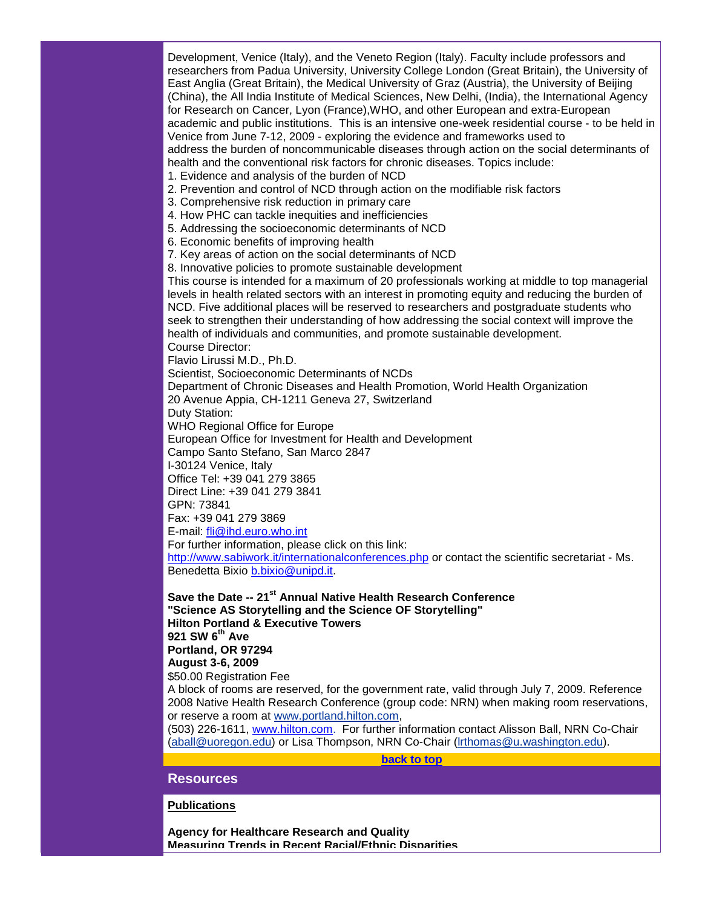Development, Venice (Italy), and the Veneto Region (Italy). Faculty include professors and researchers from Padua University, University College London (Great Britain), the University of East Anglia (Great Britain), the Medical University of Graz (Austria), the University of Beijing (China), the All India Institute of Medical Sciences, New Delhi, (India), the International Agency for Research on Cancer, Lyon (France),WHO, and other European and extra-European academic and public institutions. This is an intensive one-week residential course - to be held in Venice from June 7-12, 2009 - exploring the evidence and frameworks used to address the burden of noncommunicable diseases through action on the social determinants of health and the conventional risk factors for chronic diseases. Topics include:

- 1. Evidence and analysis of the burden of NCD
- 2. Prevention and control of NCD through action on the modifiable risk factors
- 3. Comprehensive risk reduction in primary care
- 4. How PHC can tackle inequities and inefficiencies
- 5. Addressing the socioeconomic determinants of NCD
- 6. Economic benefits of improving health
- 7. Key areas of action on the social determinants of NCD
- 8. Innovative policies to promote sustainable development

This course is intended for a maximum of 20 professionals working at middle to top managerial levels in health related sectors with an interest in promoting equity and reducing the burden of NCD. Five additional places will be reserved to researchers and postgraduate students who seek to strengthen their understanding of how addressing the social context will improve the health of individuals and communities, and promote sustainable development.

Course Director:

Flavio Lirussi M.D., Ph.D.

Scientist, Socioeconomic Determinants of NCDs

Department of Chronic Diseases and Health Promotion, World Health Organization 20 Avenue Appia, CH-1211 Geneva 27, Switzerland

Duty Station:

WHO Regional Office for Europe

European Office for Investment for Health and Development

Campo Santo Stefano, San Marco 2847

I-30124 Venice, Italy

Office Tel: +39 041 279 3865 Direct Line: +39 041 279 3841

GPN: 73841

Fax: +39 041 279 3869

E-mail: [fli@ihd.euro.who.int](mailto:fli@ihd.euro.who.int)

For further information, please click on this link:

[http://www.sabiwork.it/internationalconferences.php](http://rs6.net/tn.jsp?et=1102500994978&e=001arP80SfAbhvE0Rfu6TlAnDva43PzND-k6ZFYV4lSLeZfsewrw_ZpDcFwgeWd3_IuCPiFlwGDqMk5C8Iv1NBiv2mVKCMHRBccbXjlupSTiM5eOYtZaffrU81uC_ypXcbw9HajQ6lqvhXo_OGQtlwUgA==) or contact the scientific secretariat - Ms. Benedetta Bixio [b.bixio@unipd.it.](mailto:b.bixio@unipd.it)

**Save the Date -- 21st Annual Native Health Research Conference "Science AS Storytelling and the Science OF Storytelling" Hilton Portland & Executive Towers 921 SW 6th Ave Portland, OR 97294 August 3-6, 2009**

\$50.00 Registration Fee

A block of rooms are reserved, for the government rate, valid through July 7, 2009. Reference 2008 Native Health Research Conference (group code: NRN) when making room reservations, or reserve a room at [www.portland.hilton.com,](http://rs6.net/tn.jsp?et=1102500994978&e=001arP80SfAbhs5gQQADGvHt-ZNPlTY2mz7wA-pRLgcOVZs0__qw-fdugiILjIg3pDWeXNyYqmFIOEzhgE2-W12GYMUUhqNPBmJUcLkfy2-sEqlwpn_c9KclA==)

(503) 226-1611, [www.hilton.com.](http://rs6.net/tn.jsp?et=1102500994978&e=001arP80SfAbhtmEVKauRlz6ebqF_4d47yP5XADcfpU8efSnrZwEIBsyM3QJ-QfP_BfJ46RZX1uMXinHR0b5RYzCsX0vY-kMmS0UgV_Ftx4IfM=) For further information contact Alisson Ball, NRN Co-Chair [\(aball@uoregon.edu\)](http://rs6.net/tn.jsp?et=1102500994978&e=001arP80SfAbhtZBVxcinjZgnnDzCJux3imQynkuALUHnShyVRECnohVHEjmZJx_w1rUNyNzvetkewYv4i64fD9Izehi00MlfkBYK0zwNyOxSidwONg9TtRcYfFXN0ogZuYFc-mQef-5SWQQoN-UrRMbUNbUw1qBtdVjw7XvfTewaI=) or Lisa Thompson, NRN Co-Chair [\(lrthomas@u.washington.edu\)](http://rs6.net/tn.jsp?et=1102500994978&e=001arP80SfAbhunmADuTI1nEzbya6LURrcweDGeIiIN3eJgv0Jg5dyDmwBQ_Hftk_we04u4Bbg5Fi5avVlK2vt2CyI5I0KWiHfVoyEgkMwogBg5aPCLMtI8KJyEhXWbg2jMSyw1RG6dXPEq6U38Ly6VTliC_sFhERUMvUN6W4qrOcEmCTwPBx6FXQ==).

**[back to top](#page-0-3)**

<span id="page-18-0"></span>**Resources**

**Publications**

**Agency for Healthcare Research and Quality Measuring Trends in Recent Racial/Ethnic Disparities**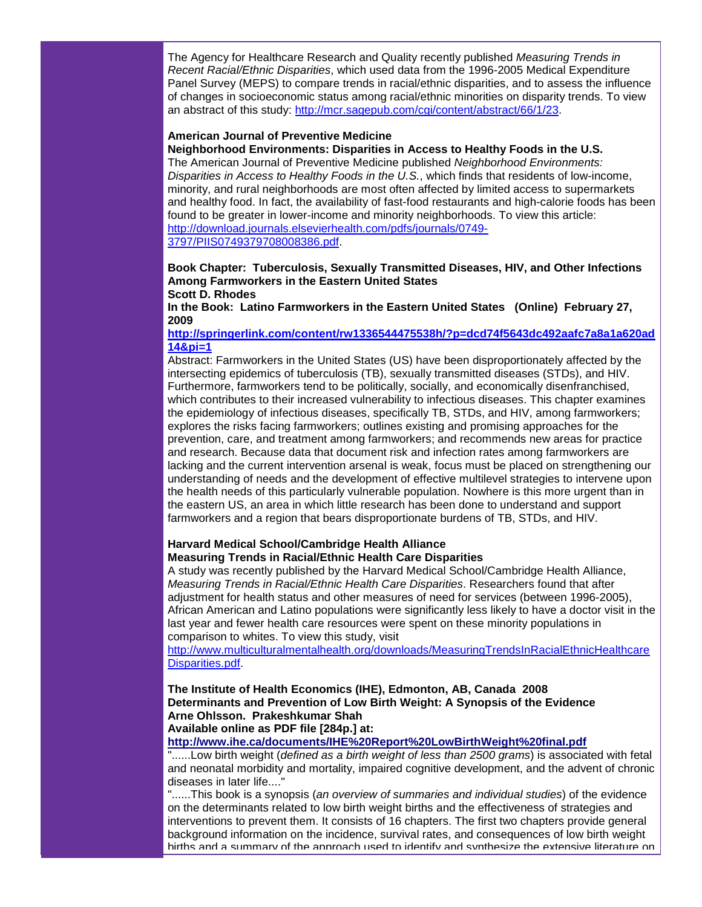The Agency for Healthcare Research and Quality recently published *Measuring Trends in Recent Racial/Ethnic Disparities*, which used data from the 1996-2005 Medical Expenditure Panel Survey (MEPS) to compare trends in racial/ethnic disparities, and to assess the influence of changes in socioeconomic status among racial/ethnic minorities on disparity trends. To view an abstract of this study: [http://mcr.sagepub.com/cgi/content/abstract/66/1/23.](http://rs6.net/tn.jsp?et=1102500994978&e=001arP80SfAbhsHW9R1XB06haK4SP6qcxaK1BWS_dD1Hy6i_3asNF_j8vesv3wt0db2LsVUg99BDRX6kyZo1rr2khDM7TeaIRtkMEVX7xZ0apFMzt0AjMak9Ct4DENAdm_gOmoTzb9QLPewGVUCDFzs7DlVNr-sS2iO)

#### **American Journal of Preventive Medicine**

**Neighborhood Environments: Disparities in Access to Healthy Foods in the U.S.** The American Journal of Preventive Medicine published *Neighborhood Environments: Disparities in Access to Healthy Foods in the U.S.*, which finds that residents of low-income, minority, and rural neighborhoods are most often affected by limited access to supermarkets and healthy food. In fact, the availability of fast-food restaurants and high-calorie foods has been found to be greater in lower-income and minority neighborhoods. To view this article: [http://download.journals.elsevierhealth.com/pdfs/journals/0749-](http://rs6.net/tn.jsp?et=1102500994978&e=001arP80SfAbhuxBCqZw9eLr6RJghxwO1YcopaAY6JaqoChLnDE2q5Fh9nAzeMt-Z6--urJEyhmnk_0jL48DcTMK56RcW9Mp7mmWyuQxNCqnRCPYCqllTRxHHWoT4fhxs4r81uUu3euH0DrXBUAS4_aDWCPiQf7CYJVaJrRXN5ByG4EHjaXTT08f8p3rRqw9_GhgVTXu7XnDRtP7SGt-4KZow==) [3797/PIIS0749379708008386.pdf.](http://rs6.net/tn.jsp?et=1102500994978&e=001arP80SfAbhuxBCqZw9eLr6RJghxwO1YcopaAY6JaqoChLnDE2q5Fh9nAzeMt-Z6--urJEyhmnk_0jL48DcTMK56RcW9Mp7mmWyuQxNCqnRCPYCqllTRxHHWoT4fhxs4r81uUu3euH0DrXBUAS4_aDWCPiQf7CYJVaJrRXN5ByG4EHjaXTT08f8p3rRqw9_GhgVTXu7XnDRtP7SGt-4KZow==)

#### **Book Chapter: Tuberculosis, Sexually Transmitted Diseases, HIV, and Other Infections Among Farmworkers in the Eastern United States Scott D. Rhodes**

**In the Book: Latino Farmworkers in the Eastern United States (Online) February 27, 2009** 

# **[http://springerlink.com/content/rw1336544475538h/?p=dcd74f5643dc492aafc7a8a1a620ad](http://rs6.net/tn.jsp?et=1102500994978&e=001arP80SfAbhtN1ZNC4GIkFNQ_TAzsynZGFo_QCNGmQDH70ZC2UBPy6x3LbOyQg7HV1tA-aL2ZaLhoNdw2-FrPb_TEJNjMMP40h8ZNr60-JZ4dM_qm4RVU6WMNTToyzpvQjV_G7DoB9cwCkzAEbdp3XnOuMRqGWt9hQGWoMV2arK4CMIVpe2au_vtmm6cMnCKjlOLRbL6htmPXG2JDpWv6mw==) [14&pi=1](http://rs6.net/tn.jsp?et=1102500994978&e=001arP80SfAbhtN1ZNC4GIkFNQ_TAzsynZGFo_QCNGmQDH70ZC2UBPy6x3LbOyQg7HV1tA-aL2ZaLhoNdw2-FrPb_TEJNjMMP40h8ZNr60-JZ4dM_qm4RVU6WMNTToyzpvQjV_G7DoB9cwCkzAEbdp3XnOuMRqGWt9hQGWoMV2arK4CMIVpe2au_vtmm6cMnCKjlOLRbL6htmPXG2JDpWv6mw==)**

Abstract: Farmworkers in the United States (US) have been disproportionately affected by the intersecting epidemics of tuberculosis (TB), sexually transmitted diseases (STDs), and HIV. Furthermore, farmworkers tend to be politically, socially, and economically disenfranchised, which contributes to their increased vulnerability to infectious diseases. This chapter examines the epidemiology of infectious diseases, specifically TB, STDs, and HIV, among farmworkers; explores the risks facing farmworkers; outlines existing and promising approaches for the prevention, care, and treatment among farmworkers; and recommends new areas for practice and research. Because data that document risk and infection rates among farmworkers are lacking and the current intervention arsenal is weak, focus must be placed on strengthening our understanding of needs and the development of effective multilevel strategies to intervene upon the health needs of this particularly vulnerable population. Nowhere is this more urgent than in the eastern US, an area in which little research has been done to understand and support farmworkers and a region that bears disproportionate burdens of TB, STDs, and HIV.

# **Harvard Medical School/Cambridge Health Alliance**

# **Measuring Trends in Racial/Ethnic Health Care Disparities**

A study was recently published by the Harvard Medical School/Cambridge Health Alliance, *Measuring Trends in Racial/Ethnic Health Care Disparities*. Researchers found that after adjustment for health status and other measures of need for services (between 1996-2005), African American and Latino populations were significantly less likely to have a doctor visit in the last year and fewer health care resources were spent on these minority populations in comparison to whites. To view this study, visit

[http://www.multiculturalmentalhealth.org/downloads/MeasuringTrendsInRacialEthnicHealthcare](http://rs6.net/tn.jsp?et=1102500994978&e=001arP80SfAbhuxn9Hz0OV3tvntK0qbpCFD5yVBdb7lgM_6cZG8pjHLVrm2VXSIg78bchUNpL1faeGSSjr9tJ6h5Fl4TEiNgynzAiwix_TF4_V_L3GnsEcECsc3uHY8H590symHfUUIsmbXk0Wcap3benX_BwmYmr60JN49Ec_kiKsJSALrV5SY_MO6DL-FlkqwlYKsm8BwpMAHpmpLYAt-NtT_rt_7phUN) [Disparities.pdf.](http://rs6.net/tn.jsp?et=1102500994978&e=001arP80SfAbhuxn9Hz0OV3tvntK0qbpCFD5yVBdb7lgM_6cZG8pjHLVrm2VXSIg78bchUNpL1faeGSSjr9tJ6h5Fl4TEiNgynzAiwix_TF4_V_L3GnsEcECsc3uHY8H590symHfUUIsmbXk0Wcap3benX_BwmYmr60JN49Ec_kiKsJSALrV5SY_MO6DL-FlkqwlYKsm8BwpMAHpmpLYAt-NtT_rt_7phUN)

**The Institute of Health Economics (IHE), Edmonton, AB, Canada 2008 Determinants and Prevention of Low Birth Weight: A Synopsis of the Evidence Arne Ohlsson. Prakeshkumar Shah** 

**Available online as PDF file [284p.] at:**

**[http://www.ihe.ca/documents/IHE%20Report%20LowBirthWeight%20final.pdf](http://rs6.net/tn.jsp?et=1102500994978&e=001arP80SfAbhthVgq7Bdz8fVMV7_Gb4gQxhLnolhUzkrSIN9XjZwzClaye1C_p0OaxHATnfUUa66-yELjksx6bbsm_Id85lTGwZ7GoNNEwkKqacrG9efC0C8kieiePM6jnyMwE0n05STCpdW3mZyfXBfsyiU6FXaKnaoQh4khf9_FrvzVvcJKDiw==)**

"......Low birth weight (*defined as a birth weight of less than 2500 grams*) is associated with fetal and neonatal morbidity and mortality, impaired cognitive development, and the advent of chronic diseases in later life...."

"......This book is a synopsis (*an overview of summaries and individual studies*) of the evidence on the determinants related to low birth weight births and the effectiveness of strategies and interventions to prevent them. It consists of 16 chapters. The first two chapters provide general background information on the incidence, survival rates, and consequences of low birth weight births and a summary of the approach used to identify and synthesize the extensive literature on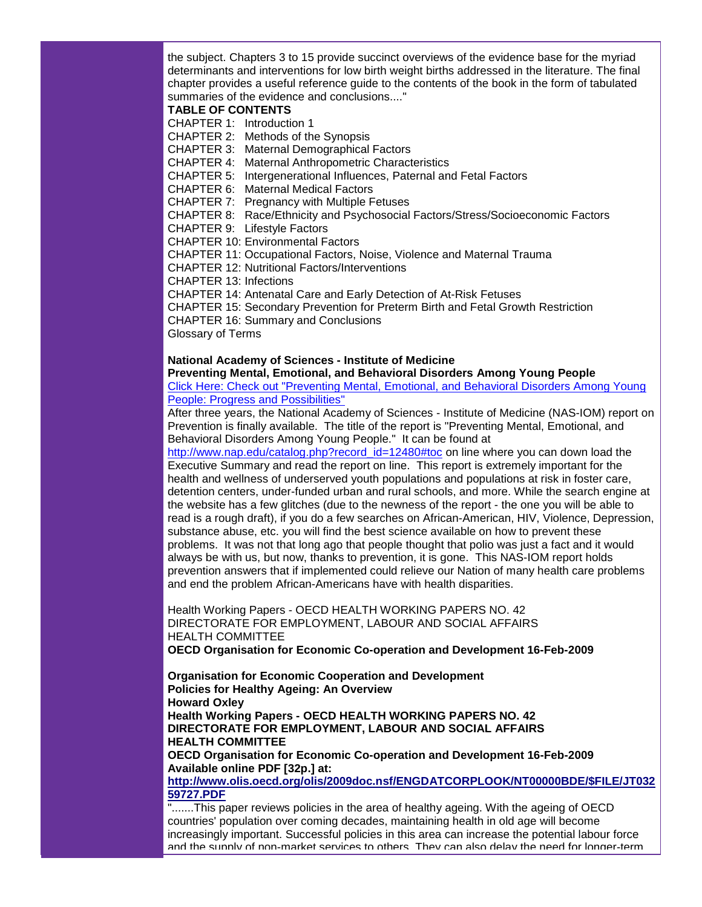the subject. Chapters 3 to 15 provide succinct overviews of the evidence base for the myriad determinants and interventions for low birth weight births addressed in the literature. The final chapter provides a useful reference guide to the contents of the book in the form of tabulated summaries of the evidence and conclusions...."

#### **TABLE OF CONTENTS**

CHAPTER 1: Introduction 1

CHAPTER 2: Methods of the Synopsis

CHAPTER 3: Maternal Demographical Factors

CHAPTER 4: Maternal Anthropometric Characteristics

CHAPTER 5: Intergenerational Influences, Paternal and Fetal Factors

CHAPTER 6: Maternal Medical Factors

CHAPTER 7: Pregnancy with Multiple Fetuses

CHAPTER 8: Race/Ethnicity and Psychosocial Factors/Stress/Socioeconomic Factors

CHAPTER 9: Lifestyle Factors

CHAPTER 10: Environmental Factors

CHAPTER 11: Occupational Factors, Noise, Violence and Maternal Trauma

CHAPTER 12: Nutritional Factors/Interventions

CHAPTER 13: Infections

CHAPTER 14: Antenatal Care and Early Detection of At-Risk Fetuses

CHAPTER 15: Secondary Prevention for Preterm Birth and Fetal Growth Restriction

CHAPTER 16: Summary and Conclusions

Glossary of Terms

# **National Academy of Sciences - Institute of Medicine**

## **Preventing Mental, Emotional, and Behavioral Disorders Among Young People**

[Click Here: Check out "Preventing Mental, Emotional, and Behavioral Disorders Among Young](http://rs6.net/tn.jsp?et=1102500994978&e=001arP80SfAbhuLW6MilfwPriyasAZCvHqXLrfRA9Psa4sB5W5Bp2WRd0hrsEDHdAmnIsgFZU2z8U-n2awCo3ikC6v5GAuUS_Iyi7F4Wo4tyyjppc-RkMDIqedsUQWMAi_Sqc_jQo0z73APhx_NT_Gy-KxinmLULwVV)  [People: Progress and Possibilities"](http://rs6.net/tn.jsp?et=1102500994978&e=001arP80SfAbhuLW6MilfwPriyasAZCvHqXLrfRA9Psa4sB5W5Bp2WRd0hrsEDHdAmnIsgFZU2z8U-n2awCo3ikC6v5GAuUS_Iyi7F4Wo4tyyjppc-RkMDIqedsUQWMAi_Sqc_jQo0z73APhx_NT_Gy-KxinmLULwVV)

After three years, the National Academy of Sciences - Institute of Medicine (NAS-IOM) report on Prevention is finally available. The title of the report is "Preventing Mental, Emotional, and Behavioral Disorders Among Young People." It can be found at

[http://www.nap.edu/catalog.php?record\\_id=12480#toc](http://rs6.net/tn.jsp?et=1102500994978&e=001arP80SfAbhtELviH13mroJspFg4zlXniKl-YoEVZVSZq0HUA1xkWGScvl9iePDkSiK8uTVOHPjyKseUFAt7nmPq12KhvlCXQTGiTASETkUXpG4i4wVHgTdOan4OKSprIu78ES-OTVUWzS4WzF4onhA==) on line where you can down load the Executive Summary and read the report on line. This report is extremely important for the health and wellness of underserved youth populations and populations at risk in foster care, detention centers, under-funded urban and rural schools, and more. While the search engine at the website has a few glitches (due to the newness of the report - the one you will be able to read is a rough draft), if you do a few searches on African-American, HIV, Violence, Depression, substance abuse, etc. you will find the best science available on how to prevent these problems. It was not that long ago that people thought that polio was just a fact and it would always be with us, but now, thanks to prevention, it is gone. This NAS-IOM report holds prevention answers that if implemented could relieve our Nation of many health care problems and end the problem African-Americans have with health disparities.

Health Working Papers - OECD HEALTH WORKING PAPERS NO. 42 DIRECTORATE FOR EMPLOYMENT, LABOUR AND SOCIAL AFFAIRS HEALTH COMMITTEE

**OECD Organisation for Economic Co-operation and Development 16-Feb-2009**

**Organisation for Economic Cooperation and Development Policies for Healthy Ageing: An Overview Howard Oxley Health Working Papers - OECD HEALTH WORKING PAPERS NO. 42**

**DIRECTORATE FOR EMPLOYMENT, LABOUR AND SOCIAL AFFAIRS HEALTH COMMITTEE**

**OECD Organisation for Economic Co-operation and Development 16-Feb-2009 Available online PDF [32p.] at:**

**[http://www.olis.oecd.org/olis/2009doc.nsf/ENGDATCORPLOOK/NT00000BDE/\\$FILE/JT032](http://rs6.net/tn.jsp?et=1102500994978&e=001arP80SfAbhuhAac3XXWQRq0n2r-lHDQ-shFpd4d6-uKmmVQmYe7nFGYR9di6tfExE-mwjN0g3_aA_EDvi0tuDWdwbLAqXbRXt4KBsp5ePwWhkAgPvepqqnn6XnNmGenzbsQXgpSVWoT6f2ayVH8Ug2SlI6t0l48-VIdXAxD_roCQTnAIwKOZ4M9CSI744jPhLzV4l2NH8YXFYzpjxwhLUw==) [59727.PDF](http://rs6.net/tn.jsp?et=1102500994978&e=001arP80SfAbhuhAac3XXWQRq0n2r-lHDQ-shFpd4d6-uKmmVQmYe7nFGYR9di6tfExE-mwjN0g3_aA_EDvi0tuDWdwbLAqXbRXt4KBsp5ePwWhkAgPvepqqnn6XnNmGenzbsQXgpSVWoT6f2ayVH8Ug2SlI6t0l48-VIdXAxD_roCQTnAIwKOZ4M9CSI744jPhLzV4l2NH8YXFYzpjxwhLUw==)**

".......This paper reviews policies in the area of healthy ageing. With the ageing of OECD countries' population over coming decades, maintaining health in old age will become increasingly important. Successful policies in this area can increase the potential labour force and the supply of non-market services to others. They can also delay the need for longer-term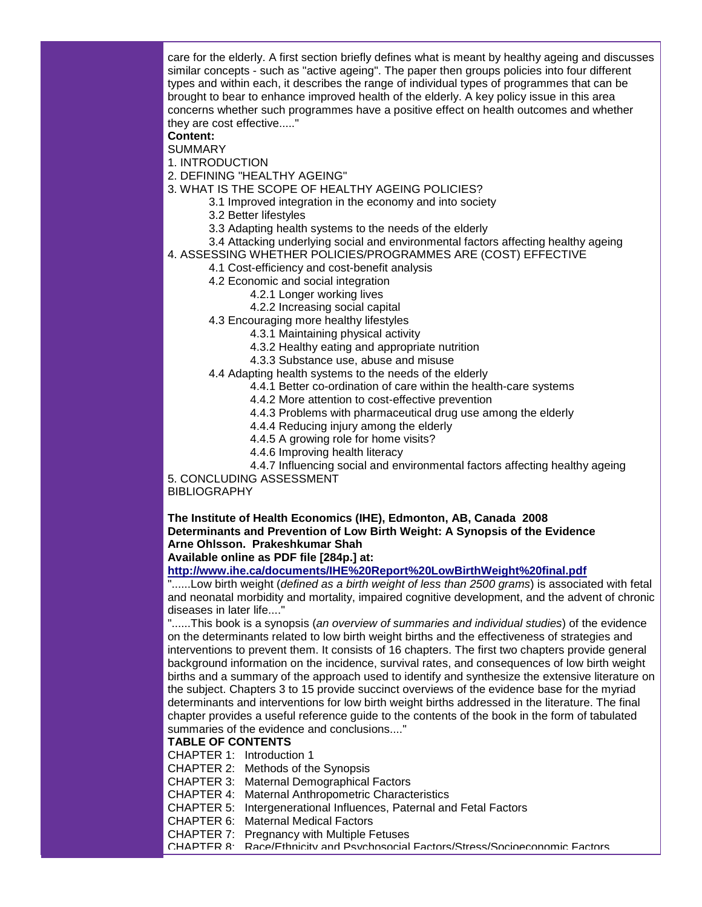care for the elderly. A first section briefly defines what is meant by healthy ageing and discusses similar concepts - such as "active ageing". The paper then groups policies into four different types and within each, it describes the range of individual types of programmes that can be brought to bear to enhance improved health of the elderly. A key policy issue in this area concerns whether such programmes have a positive effect on health outcomes and whether they are cost effective....."

## **Content:**

SUMMARY

- 1. INTRODUCTION
- 2. DEFINING "HEALTHY AGEING"
- 3. WHAT IS THE SCOPE OF HEALTHY AGEING POLICIES?
	- 3.1 Improved integration in the economy and into society
		- 3.2 Better lifestyles
		- 3.3 Adapting health systems to the needs of the elderly
- 3.4 Attacking underlying social and environmental factors affecting healthy ageing
- 4. ASSESSING WHETHER POLICIES/PROGRAMMES ARE (COST) EFFECTIVE
	- 4.1 Cost-efficiency and cost-benefit analysis
	- 4.2 Economic and social integration
		- 4.2.1 Longer working lives
			- 4.2.2 Increasing social capital
	- 4.3 Encouraging more healthy lifestyles
		- 4.3.1 Maintaining physical activity
			- 4.3.2 Healthy eating and appropriate nutrition
			- 4.3.3 Substance use, abuse and misuse
	- 4.4 Adapting health systems to the needs of the elderly
		- 4.4.1 Better co-ordination of care within the health-care systems
		- 4.4.2 More attention to cost-effective prevention
		- 4.4.3 Problems with pharmaceutical drug use among the elderly
		- 4.4.4 Reducing injury among the elderly
		- 4.4.5 A growing role for home visits?
		- 4.4.6 Improving health literacy

4.4.7 Influencing social and environmental factors affecting healthy ageing 5. CONCLUDING ASSESSMENT

## **BIBLIOGRAPHY**

**The Institute of Health Economics (IHE), Edmonton, AB, Canada 2008 Determinants and Prevention of Low Birth Weight: A Synopsis of the Evidence Arne Ohlsson. Prakeshkumar Shah** 

# **Available online as PDF file [284p.] at:**

# **[http://www.ihe.ca/documents/IHE%20Report%20LowBirthWeight%20final.pdf](http://rs6.net/tn.jsp?et=1102500994978&e=001arP80SfAbhthVgq7Bdz8fVMV7_Gb4gQxhLnolhUzkrSIN9XjZwzClaye1C_p0OaxHATnfUUa66-yELjksx6bbsm_Id85lTGwZ7GoNNEwkKqacrG9efC0C8kieiePM6jnyMwE0n05STCpdW3mZyfXBfsyiU6FXaKnaoQh4khf9_FrvzVvcJKDiw==)**

"......Low birth weight (*defined as a birth weight of less than 2500 grams*) is associated with fetal and neonatal morbidity and mortality, impaired cognitive development, and the advent of chronic diseases in later life...."

"......This book is a synopsis (*an overview of summaries and individual studies*) of the evidence on the determinants related to low birth weight births and the effectiveness of strategies and interventions to prevent them. It consists of 16 chapters. The first two chapters provide general background information on the incidence, survival rates, and consequences of low birth weight births and a summary of the approach used to identify and synthesize the extensive literature on the subject. Chapters 3 to 15 provide succinct overviews of the evidence base for the myriad determinants and interventions for low birth weight births addressed in the literature. The final chapter provides a useful reference guide to the contents of the book in the form of tabulated summaries of the evidence and conclusions...."

## **TABLE OF CONTENTS**

CHAPTER 1: Introduction 1

CHAPTER 2: Methods of the Synopsis

CHAPTER 3: Maternal Demographical Factors

- CHAPTER 4: Maternal Anthropometric Characteristics
- CHAPTER 5: Intergenerational Influences, Paternal and Fetal Factors

CHAPTER 6: Maternal Medical Factors

CHAPTER 7: Pregnancy with Multiple Fetuses

CHAPTER 8: Race/Ethnicity and Psychosocial Factors/Stress/Socioeconomic Factors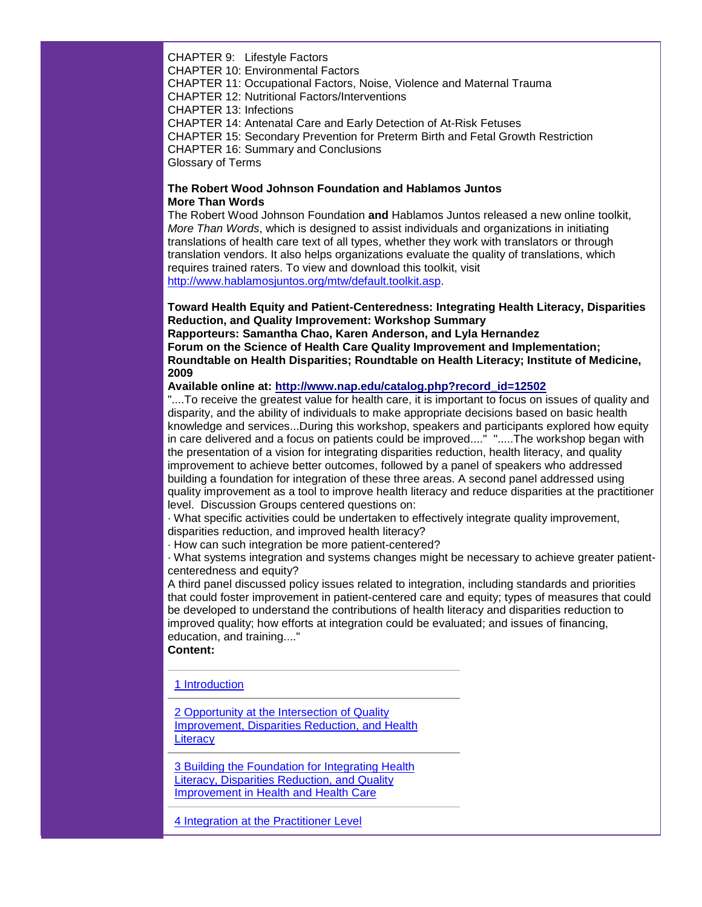CHAPTER 9: Lifestyle Factors

CHAPTER 10: Environmental Factors

CHAPTER 11: Occupational Factors, Noise, Violence and Maternal Trauma

CHAPTER 12: Nutritional Factors/Interventions

CHAPTER 13: Infections

CHAPTER 14: Antenatal Care and Early Detection of At-Risk Fetuses

CHAPTER 15: Secondary Prevention for Preterm Birth and Fetal Growth Restriction

CHAPTER 16: Summary and Conclusions

Glossary of Terms

# **The Robert Wood Johnson Foundation and Hablamos Juntos More Than Words**

The Robert Wood Johnson Foundation **and** Hablamos Juntos released a new online toolkit, *More Than Words*, which is designed to assist individuals and organizations in initiating translations of health care text of all types, whether they work with translators or through translation vendors. It also helps organizations evaluate the quality of translations, which requires trained raters. To view and download this toolkit, visit [http://www.hablamosjuntos.org/mtw/default.toolkit.asp.](http://rs6.net/tn.jsp?et=1102500994978&e=001arP80SfAbhsvHf0jm8EV26vU1mcsgx2kUkX4LOTBIgMKpqIlgDbH7Sb6If4OarXF2zKtfZcnx1xFiyQGWKNBJmW9qzh_-fR5zpe1jDQ9zsG_5SooSOXxCCmIVnFaDaaZFbTJZ7t51ZAH2AJaAwxkDg==)

**Toward Health Equity and Patient-Centeredness: Integrating Health Literacy, Disparities Reduction, and Quality Improvement: Workshop Summary**

**Rapporteurs: Samantha Chao, Karen Anderson, and Lyla Hernandez Forum on the Science of Health Care Quality Improvement and Implementation; Roundtable on Health Disparities; Roundtable on Health Literacy; Institute of Medicine, 2009**

**Available online at: [http://www.nap.edu/catalog.php?record\\_id=12502](http://rs6.net/tn.jsp?et=1102500994978&e=001arP80SfAbhsqliQhVfYSvq82QgBme1mfEbHvwc-H7JO_wawfbn3mwE_opKmI2g1tplsP0BpjBfHEPof0W9Z5Py2MXxKuPaTutghhr2IZKXR4dJW5QNGvqPCN1XeNhI4daRwyduQ1LqJkmIJK6myh_g==)**

"....To receive the greatest value for health care, it is important to focus on issues of quality and disparity, and the ability of individuals to make appropriate decisions based on basic health knowledge and services...During this workshop, speakers and participants explored how equity in care delivered and a focus on patients could be improved...." ".....The workshop began with the presentation of a vision for integrating disparities reduction, health literacy, and quality improvement to achieve better outcomes, followed by a panel of speakers who addressed building a foundation for integration of these three areas. A second panel addressed using quality improvement as a tool to improve health literacy and reduce disparities at the practitioner level. Discussion Groups centered questions on:

· What specific activities could be undertaken to effectively integrate quality improvement, disparities reduction, and improved health literacy?

· How can such integration be more patient-centered?

· What systems integration and systems changes might be necessary to achieve greater patientcenteredness and equity?

A third panel discussed policy issues related to integration, including standards and priorities that could foster improvement in patient-centered care and equity; types of measures that could be developed to understand the contributions of health literacy and disparities reduction to improved quality; how efforts at integration could be evaluated; and issues of financing, education, and training...."

# **Content:**

[1 Introduction](http://rs6.net/tn.jsp?et=1102500994978&e=001arP80SfAbhsspxsjfSJt7k3fIFZ6BRODGEuAVXhPm5zfHV0WDM1Et_zOHgPPOJdwigp6IJ-DhlFK9q0DdD4jIrl0LdBJFkHNQ2TsrbYgTZVilMPw8J1TrWFykxYh6nZVGLTn7rV2VXzvLJSI4lNddrLR558zgHM3)

[2 Opportunity at the Intersection of Quality](http://rs6.net/tn.jsp?et=1102500994978&e=001arP80SfAbhs7Sf1AI6hJbJ0116wvsX8374LKDs3za_JBD0sKAB-KUNN3YH1MwuF_fUqEl-M_AWgcCXl3zKGTvBwRLqhMWROmFp5AB7L2JbG6-vgSIbvOvb3OIL25EJm2FH7bwzDUxPBcTLLmcDud6W_GPoba7HyQ)  [Improvement, Disparities Reduction, and Health](http://rs6.net/tn.jsp?et=1102500994978&e=001arP80SfAbhs7Sf1AI6hJbJ0116wvsX8374LKDs3za_JBD0sKAB-KUNN3YH1MwuF_fUqEl-M_AWgcCXl3zKGTvBwRLqhMWROmFp5AB7L2JbG6-vgSIbvOvb3OIL25EJm2FH7bwzDUxPBcTLLmcDud6W_GPoba7HyQ)  **[Literacy](http://rs6.net/tn.jsp?et=1102500994978&e=001arP80SfAbhs7Sf1AI6hJbJ0116wvsX8374LKDs3za_JBD0sKAB-KUNN3YH1MwuF_fUqEl-M_AWgcCXl3zKGTvBwRLqhMWROmFp5AB7L2JbG6-vgSIbvOvb3OIL25EJm2FH7bwzDUxPBcTLLmcDud6W_GPoba7HyQ)** 

[3 Building the Foundation for Integrating Health](http://rs6.net/tn.jsp?et=1102500994978&e=001arP80SfAbhsWXOGjHstE8ICWM99rud0SNj8Z5_3i3Zq7hTgho6SIFJ0DsQAx4AL73OuzYSp6V3FXT5T8BBF56Jkf79dnEHli9pN0QENfDwQe_dXIvCmROs0jocgwOI0A_ejIBDYbP-KSsbUsGMB7z6Nf4vOF1K4M-asIGcqUA8I=)  [Literacy, Disparities Reduction, and Quality](http://rs6.net/tn.jsp?et=1102500994978&e=001arP80SfAbhsWXOGjHstE8ICWM99rud0SNj8Z5_3i3Zq7hTgho6SIFJ0DsQAx4AL73OuzYSp6V3FXT5T8BBF56Jkf79dnEHli9pN0QENfDwQe_dXIvCmROs0jocgwOI0A_ejIBDYbP-KSsbUsGMB7z6Nf4vOF1K4M-asIGcqUA8I=)  [Improvement in Health and Health Care](http://rs6.net/tn.jsp?et=1102500994978&e=001arP80SfAbhsWXOGjHstE8ICWM99rud0SNj8Z5_3i3Zq7hTgho6SIFJ0DsQAx4AL73OuzYSp6V3FXT5T8BBF56Jkf79dnEHli9pN0QENfDwQe_dXIvCmROs0jocgwOI0A_ejIBDYbP-KSsbUsGMB7z6Nf4vOF1K4M-asIGcqUA8I=)

[4 Integration at the Practitioner Level](http://rs6.net/tn.jsp?et=1102500994978&e=001arP80SfAbhvRYhJV5YumSlb_E2NvTcooTsBTNBQ8uHlEmugTJlIDrrkoyy66eHDZQNv8d9nRkTLLARWU07I2hod8UP75C7p_-M7rQwSzXRJKqf7NuCWWIGdepszTmm7PM0yHYX8-skmPrxhP9PQ_e5zOqUz68Z3aFcXD2h-Pjns=)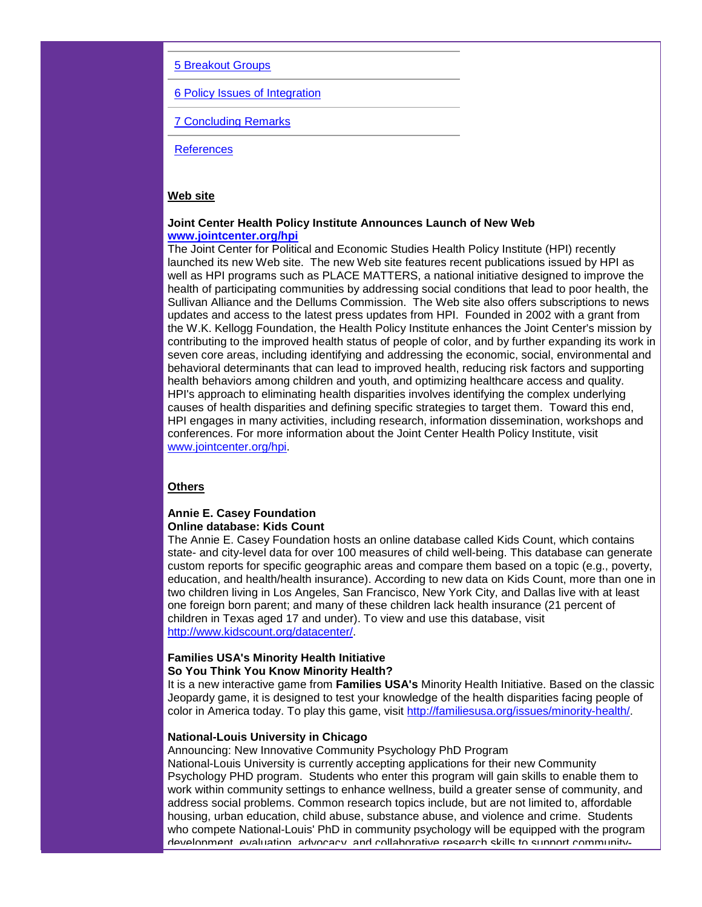## [5 Breakout Groups](http://rs6.net/tn.jsp?et=1102500994978&e=001arP80SfAbhtonEtbqS2of3Lz15Sv5XPFgfiGh5hAZNvkJ8iSvRtzSB9E2W3pmuazGs2Q4e7iQHm_VnqbQAZ9MWagmKb6ip9xcCdzy2YLEor7CHTxlQc4Zbv7nkS-hd-ufW9-4Tot6MnAdHV-HnAf0ukqVqM_2FmnjL3pKdqH3rw=)

[6 Policy Issues of Integration](http://rs6.net/tn.jsp?et=1102500994978&e=001arP80SfAbhtawMgVq1XtcVlIPIPkHaD0r9Tp0osyppiTtSyJa-IabvFdUgzTiqHGj8TXo5WyE0j61FlLPkb4ZSDsPlOHTjaLKSfzD4k1JYv8V2o5qRJrQLyilYBoUCLI6eUsgC_Z_5ZdH5dZVDq9rASB8KjSxWCzUXE3naB6BUM=)

[7 Concluding Remarks](http://rs6.net/tn.jsp?et=1102500994978&e=001arP80SfAbhvXXvmomqll1fdOwBUs1jmAU_IA-qrz_KGbA4NHV0D69bzPXQaUKMh-IQPg22fEa5n0weo904XqMvDVX6MYY1llNxCJhRDAlLKBt1Ff80e-5JaJF9OCaKIQqbozmVJoWCAgsstar3McNjy8n-IaM4aCCYOCvARk7S4=)

**[References](http://rs6.net/tn.jsp?et=1102500994978&e=001arP80SfAbhs9gQ0I_2GT543Xuu17JMfRGZZFcvvLdiKLqdCb8vTTmCBLi150uYXsGPA_jF3VP-sfi28qKcVSL1xaz6bUkBb29-07jphL7aaW92A7hWHe-yhjBqgphycOG6FtMnISTw18wXGgeCvnE5hgBGD69dYbQfUo8ko_CVA=)** 

# **Web site**

#### **Joint Center Health Policy Institute Announces Launch of New Web [www.jointcenter.org/hpi](http://rs6.net/tn.jsp?et=1102500994978&e=001arP80SfAbhtsWL30qw8-7f404WJg1NU5wlGASZ2KdcAXxVjnNe52Hhk9dnKa5pNrzy5woruwEVJdSH-ug1Nyr5tonxq7GDA6R91pkxS9m5hJ084S1CeOdg==)**

The Joint Center for Political and Economic Studies Health Policy Institute (HPI) recently launched its new Web site. The new Web site features recent publications issued by HPI as well as HPI programs such as PLACE MATTERS, a national initiative designed to improve the health of participating communities by addressing social conditions that lead to poor health, the Sullivan Alliance and the Dellums Commission. The Web site also offers subscriptions to news updates and access to the latest press updates from HPI. Founded in 2002 with a grant from the W.K. Kellogg Foundation, the Health Policy Institute enhances the Joint Center's mission by contributing to the improved health status of people of color, and by further expanding its work in seven core areas, including identifying and addressing the economic, social, environmental and behavioral determinants that can lead to improved health, reducing risk factors and supporting health behaviors among children and youth, and optimizing healthcare access and quality. HPI's approach to eliminating health disparities involves identifying the complex underlying causes of health disparities and defining specific strategies to target them. Toward this end, HPI engages in many activities, including research, information dissemination, workshops and conferences. For more information about the Joint Center Health Policy Institute, visit [www.jointcenter.org/hpi.](http://rs6.net/tn.jsp?et=1102500994978&e=001arP80SfAbhttXBSJFBbBCZWhoNVNqev-ZwHfc-ANjqswh3bAy6dM0cxLAIe0VFHLU321qzrmNqOa1JhG5GuO-ITVBI-HjjHccbLFX3KJuQk3PScSkSif7I4-1dD5HrhddPqe6l8HmwELCqu3MHD6TpIsU4k1gdFCaOg3Kh63hF1pUryJQVbdlk0oH4UIesbO)

# **Others**

### **Annie E. Casey Foundation Online database: Kids Count**

The Annie E. Casey Foundation hosts an online database called Kids Count, which contains state- and city-level data for over 100 measures of child well-being. This database can generate custom reports for specific geographic areas and compare them based on a topic (e.g., poverty, education, and health/health insurance). According to new data on Kids Count, more than one in two children living in Los Angeles, San Francisco, New York City, and Dallas live with at least one foreign born parent; and many of these children lack health insurance (21 percent of children in Texas aged 17 and under). To view and use this database, visit [http://www.kidscount.org/datacenter/.](http://rs6.net/tn.jsp?et=1102500994978&e=001arP80SfAbhvRx9yJcR9ttuUEWqQoNoSEFFgrisM0pPbKKevuTEQ1U6opsMxDKb4iUzWci5emxgzhkFUL-E1EGkXJ8Bjd8JR6zkUmKu90-t0e7xktbvgiBZaYhrX7fTtM)

# **Families USA's Minority Health Initiative So You Think You Know Minority Health?**

It is a new interactive game from **Families USA's** Minority Health Initiative. Based on the classic Jeopardy game, it is designed to test your knowledge of the health disparities facing people of color in America today. To play this game, visit [http://familiesusa.org/issues/minority-health/.](http://rs6.net/tn.jsp?et=1102500994978&e=001arP80SfAbhtGVR7SxVzYEg6OTvRkshfVURJ11iHxGF2NkR03gI3315kM-5bTGVHx27-SBLsSPHuFECYiFBjl5tYIF6kD0_lJeEfi0Bz03WONy19AcMTLtk00F5Zz4EenEDJdt1p4rydWjccs_NWoxA==)

# **National-Louis University in Chicago**

Announcing: New Innovative Community Psychology PhD Program National-Louis University is currently accepting applications for their new Community Psychology PHD program. Students who enter this program will gain skills to enable them to work within community settings to enhance wellness, build a greater sense of community, and address social problems. Common research topics include, but are not limited to, affordable housing, urban education, child abuse, substance abuse, and violence and crime. Students who compete National-Louis' PhD in community psychology will be equipped with the program development, evaluation, advocacy, and collaborative research skills to support community-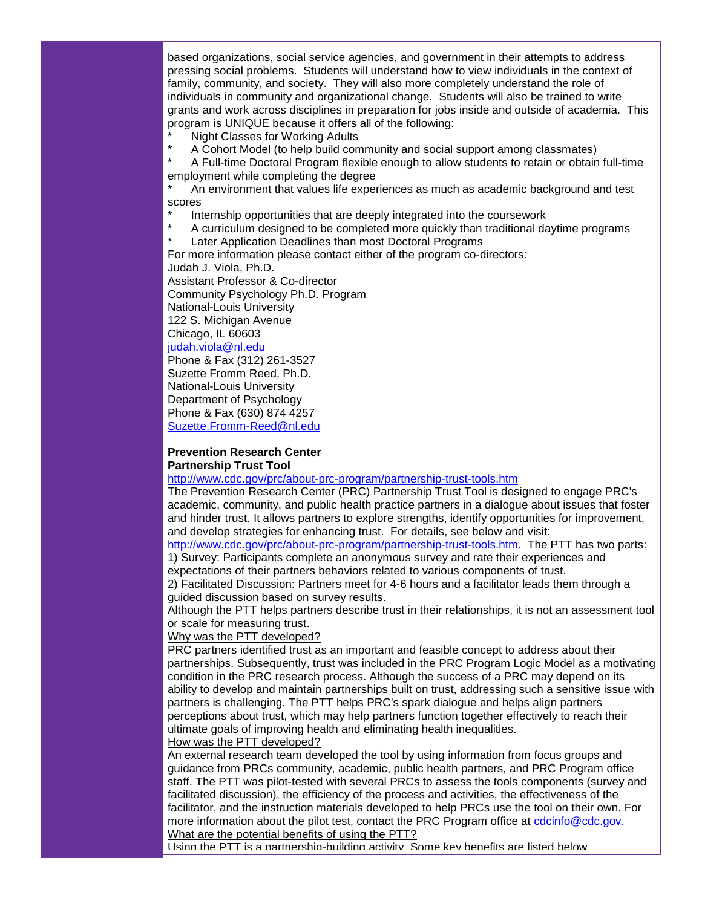based organizations, social service agencies, and government in their attempts to address pressing social problems. Students will understand how to view individuals in the context of family, community, and society. They will also more completely understand the role of individuals in community and organizational change. Students will also be trained to write grants and work across disciplines in preparation for jobs inside and outside of academia. This program is UNIQUE because it offers all of the following:

Night Classes for Working Adults

A Cohort Model (to help build community and social support among classmates)

A Full-time Doctoral Program flexible enough to allow students to retain or obtain full-time employment while completing the degree

An environment that values life experiences as much as academic background and test scores

- Internship opportunities that are deeply integrated into the coursework
- A curriculum designed to be completed more quickly than traditional daytime programs
- **Later Application Deadlines than most Doctoral Programs**

For more information please contact either of the program co-directors:

Judah J. Viola, Ph.D.

Assistant Professor & Co-director Community Psychology Ph.D. Program National-Louis University 122 S. Michigan Avenue Chicago, IL 60603

# [judah.viola@nl.edu](mailto:judah.viola@nl.edu)

Phone & Fax (312) 261-3527 Suzette Fromm Reed, Ph.D. National-Louis University Department of Psychology Phone & Fax (630) 874 4257 [Suzette.Fromm-Reed@nl.edu](mailto:Suzette.Fromm-Reed@nl.edu)

# **Prevention Research Center Partnership Trust Tool**

[http://www.cdc.gov/prc/about-prc-program/partnership-trust-tools.htm](http://rs6.net/tn.jsp?et=1102500994978&e=001arP80SfAbhskMt9un1PCTvHm3BOY01bas4rWx8qFUeiZmlK5C_pLbp6dQg4jxFYi0svGh_0j-klOFhAuuBvMmAHC_sAeLOBXmwW07GWCk4AZLgMyeOK6Pfk45t1k_AxpsXlWBqTeWCfO73L5GWCN2zTQGpKzcOBmXXUuq8pdrl8=)

The Prevention Research Center (PRC) Partnership Trust Tool is designed to engage PRC's academic, community, and public health practice partners in a dialogue about issues that foster and hinder trust. It allows partners to explore strengths, identify opportunities for improvement, and develop strategies for enhancing trust. For details, see below and visit:

[http://www.cdc.gov/prc/about-prc-program/partnership-trust-tools.htm.](http://rs6.net/tn.jsp?et=1102500994978&e=001arP80SfAbhskMt9un1PCTvHm3BOY01bas4rWx8qFUeiZmlK5C_pLbp6dQg4jxFYi0svGh_0j-klOFhAuuBvMmAHC_sAeLOBXmwW07GWCk4AZLgMyeOK6Pfk45t1k_AxpsXlWBqTeWCfO73L5GWCN2zTQGpKzcOBmXXUuq8pdrl8=) The PTT has two parts: 1) Survey: Participants complete an anonymous survey and rate their experiences and

expectations of their partners behaviors related to various components of trust.

2) Facilitated Discussion: Partners meet for 4-6 hours and a facilitator leads them through a guided discussion based on survey results.

Although the PTT helps partners describe trust in their relationships, it is not an assessment tool or scale for measuring trust.

Why was the PTT developed?

PRC partners identified trust as an important and feasible concept to address about their partnerships. Subsequently, trust was included in the PRC Program Logic Model as a motivating condition in the PRC research process. Although the success of a PRC may depend on its ability to develop and maintain partnerships built on trust, addressing such a sensitive issue with partners is challenging. The PTT helps PRC's spark dialogue and helps align partners perceptions about trust, which may help partners function together effectively to reach their ultimate goals of improving health and eliminating health inequalities.

### How was the PTT developed?

An external research team developed the tool by using information from focus groups and guidance from PRCs community, academic, public health partners, and PRC Program office staff. The PTT was pilot-tested with several PRCs to assess the tools components (survey and facilitated discussion), the efficiency of the process and activities, the effectiveness of the facilitator, and the instruction materials developed to help PRCs use the tool on their own. For more information about the pilot test, contact the PRC Program office at [cdcinfo@cdc.gov.](mailto:cdcinfo@cdc.gov) What are the potential benefits of using the PTT?

Using the PTT is a partnership-building activity. Some key benefits are listed below.